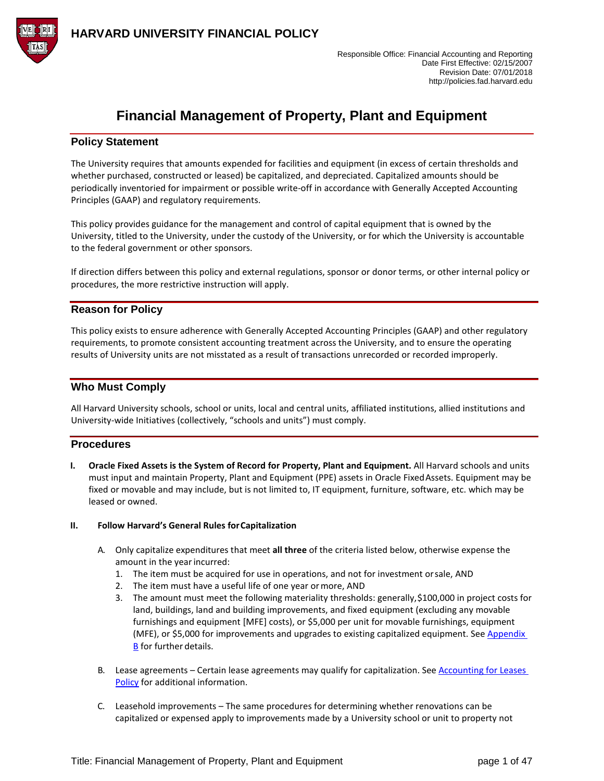

# **Financial Management of Property, Plant and Equipment**

### <span id="page-0-1"></span>**Policy Statement**

The University requires that amounts expended for facilities and equipment (in excess of certain thresholds and whether purchased, constructed or leased) be capitalized, and depreciated. Capitalized amounts should be periodically inventoried for impairment or possible write-off in accordance with Generally Accepted Accounting Principles (GAAP) and regulatory requirements.

This policy provides guidance for the management and control of capital equipment that is owned by the University, titled to the University, under the custody of the University, or for which the University is accountable to the federal government or other sponsors.

If direction differs between this policy and external regulations, sponsor or donor terms, or other internal policy or procedures, the more restrictive instruction will apply.

### **Reason for Policy**

This policy exists to ensure adherence with Generally Accepted Accounting Principles (GAAP) and other regulatory requirements, to promote consistent accounting treatment across the University, and to ensure the operating results of University units are not misstated as a result of transactions unrecorded or recorded improperly.

### **Who Must Comply**

All Harvard University schools, school or units, local and central units, affiliated institutions, allied institutions and University-wide Initiatives (collectively, "schools and units") must comply.

### **Procedures**

**I. Oracle Fixed Assets is the System of Record for Property, Plant and Equipment.** All Harvard schools and units must input and maintain Property, Plant and Equipment (PPE) assets in Oracle FixedAssets. Equipment may be fixed or movable and may include, but is not limited to, IT equipment, furniture, software, etc. which may be leased or owned.

### <span id="page-0-0"></span>**II. Follow Harvard's General Rules forCapitalization**

- A. Only capitalize expenditures that meet **all three** of the criteria listed below, otherwise expense the amount in the yearincurred:
	- 1. The item must be acquired for use in operations, and not for investment orsale, AND
	- 2. The item must have a useful life of one year ormore, AND
	- 3. The amount must meet the following materiality thresholds: generally,\$100,000 in project costs for land, buildings, land and building improvements, and fixed equipment (excluding any movable furnishings and equipment [MFE] costs), or \$5,000 per unit for movable furnishings, equipment (MFE), or \$5,000 for improvements and upgrades to existing capitalized equipment. See Appendix [B](#page-14-0) for further details.
- B. Lease agreements Certain lease agreements may qualify for capitalization. See Accounting for Leases [Policy](https://policies.fad.harvard.edu/accounting-leases) for additional information.
- C. Leasehold improvements The same procedures for determining whether renovations can be capitalized or expensed apply to improvements made by a University school or unit to property not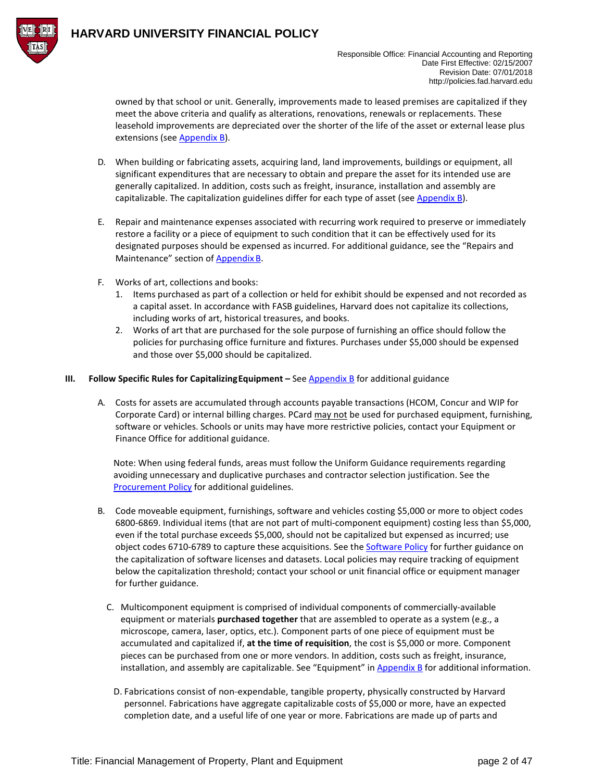

owned by that school or unit. Generally, improvements made to leased premises are capitalized if they meet the above criteria and qualify as alterations, renovations, renewals or replacements. These leasehold improvements are depreciated over the shorter of the life of the asset or external lease plus extensions (see [Appendix B\)](#page-14-0).

- D. When building or fabricating assets, acquiring land, land improvements, buildings or equipment, all significant expenditures that are necessary to obtain and prepare the asset for its intended use are generally capitalized. In addition, costs such as freight, insurance, installation and assembly are capitalizable. The capitalization guidelines differ for each type of asset (see [Appendix B\)](#page-14-0).
- E. Repair and maintenance expenses associated with recurring work required to preserve or immediately restore a facility or a piece of equipment to such condition that it can be effectively used for its designated purposes should be expensed as incurred. For additional guidance, see the "Repairs and Maintenance" section o[f Appendix](#page-14-0) B.
- F. Works of art, collections and books:
	- 1. Items purchased as part of a collection or held for exhibit should be expensed and not recorded as a capital asset. In accordance with FASB guidelines, Harvard does not capitalize its collections, including works of art, historical treasures, and books.
	- 2. Works of art that are purchased for the sole purpose of furnishing an office should follow the policies for purchasing office furniture and fixtures. Purchases under \$5,000 should be expensed and those over \$5,000 should be capitalized.

### **III. Follow Specific Rules for CapitalizingEquipment –** See [Appendix B](#page-14-0) for additional guidance

A. Costs for assets are accumulated through accounts payable transactions (HCOM, Concur and WIP for Corporate Card) or internal billing charges. PCard may not be used for purchased equipment, furnishing, software or vehicles. Schools or units may have more restrictive policies, contact your Equipment or Finance Office for additional guidance.

Note: When using federal funds, areas must follow the Uniform Guidance requirements regarding avoiding unnecessary and duplicative purchases and contractor selection justification. See the [Procurement](https://policies.fad.harvard.edu/procurement) Policy for additional guidelines.

- B. Code moveable equipment, furnishings, software and vehicles costing \$5,000 or more to object codes 6800-6869. Individual items (that are not part of multi-component equipment) costing less than \$5,000, even if the total purchase exceeds \$5,000, should not be capitalized but expensed as incurred; use object codes 6710-6789 to capture these acquisitions. See th[e Software Policy](https://policies.fad.harvard.edu/accounting-internally-developed-software) for further guidance on the capitalization of software licenses and datasets. Local policies may require tracking of equipment below the capitalization threshold; contact your school or unit financial office or equipment manager for further guidance.
	- C. Multicomponent equipment is comprised of individual components of commercially-available equipment or materials **purchased together** that are assembled to operate as a system (e.g., a microscope, camera, laser, optics, etc.). Component parts of one piece of equipment must be accumulated and capitalized if, **at the time of requisition**, the cost is \$5,000 or more. Component pieces can be purchased from one or more vendors. In addition, costs such as freight, insurance, installation, and assembly are capitalizable. See "Equipment" i[n Appendix B](#page-14-0) for additional information.
		- D. Fabrications consist of non-expendable, tangible property, physically constructed by Harvard personnel. Fabrications have aggregate capitalizable costs of \$5,000 or more, have an expected completion date, and a useful life of one year or more. Fabrications are made up of parts and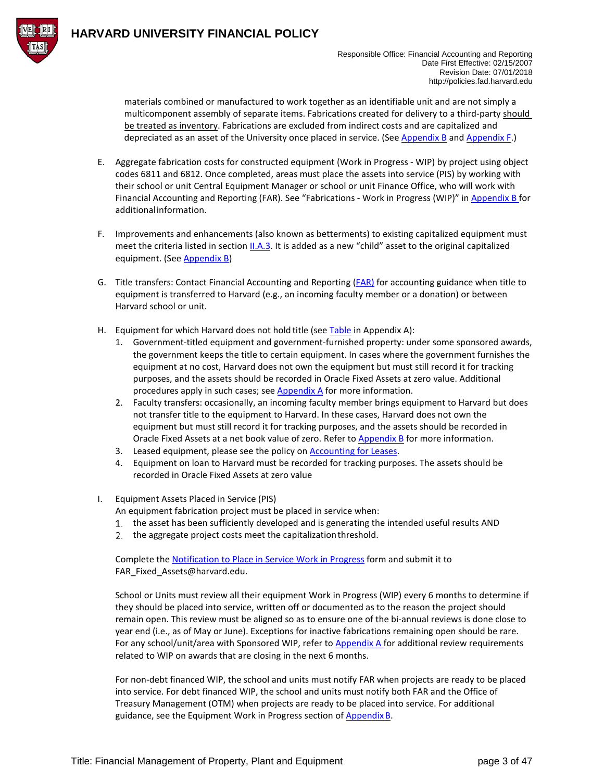

materials combined or manufactured to work together as an identifiable unit and are not simply a multicomponent assembly of separate items. Fabrications created for delivery to a third-party should be treated as inventory. Fabrications are excluded from indirect costs and are capitalized and depreciated as an asset of the University once placed in service. (See [Appendix B](#page-14-0) and [Appendix F.\)](#page-43-0)

- E. Aggregate fabrication costs for constructed equipment (Work in Progress WIP) by project using object codes 6811 and 6812. Once completed, areas must place the assets into service (PIS) by working with their school or unit Central Equipment Manager or school or unit Finance Office, who will work with Financial Accounting and Reporting (FAR). See "Fabrications - Work in Progress (WIP)" in [Appendix B](#page-14-0) for additionalinformation.
- F. Improvements and enhancements (also known as betterments) to existing capitalized equipment must meet the criteria listed in section **II.A.3**. It is added as a new "child" asset to the original capitalized equipment. (See [Appendix B\)](#page-14-0)
- G. Title transfers: Contact Financial Accounting and Reporting [\(FAR\)](https://oc.finance.harvard.edu/services/financial-accounting-and-reporting) for accounting guidance when title to equipment is transferred to Harvard (e.g., an incoming faculty member or a donation) or between Harvard school or unit.
- H. Equipment for which Harvard does not hold title (see [Table](#page-11-0) in Appendix A):
	- 1. Government-titled equipment and government-furnished property: under some sponsored awards, the government keeps the title to certain equipment. In cases where the government furnishes the equipment at no cost, Harvard does not own the equipment but must still record it for tracking purposes, and the assets should be recorded in Oracle Fixed Assets at zero value. Additional procedures apply in such cases; see [Appendix A](#page-9-0) for more information.
	- 2. Faculty transfers: occasionally, an incoming faculty member brings equipment to Harvard but does not transfer title to the equipment to Harvard. In these cases, Harvard does not own the equipment but must still record it for tracking purposes, and the assets should be recorded in Oracle Fixed Assets at a net book value of zero. Refer t[o Appendix B](#page-14-0) for more information.
	- 3. Leased equipment, please see the policy on [Accounting for Leases.](https://policies.fad.harvard.edu/accounting-leases)
	- 4. Equipment on loan to Harvard must be recorded for tracking purposes. The assets should be recorded in Oracle Fixed Assets at zero value
- I. Equipment Assets Placed in Service (PIS)

An equipment fabrication project must be placed in service when:

- 1. the asset has been sufficiently developed and is generating the intended useful results AND
- 2. the aggregate project costs meet the capitalization threshold.

Complete th[e Notification to Place in Service Work in Progress](https://oc.finance.harvard.edu/resources/forms-and-templates) form and submit it to FAR Fixed Assets@harvard.edu.

School or Units must review all their equipment Work in Progress (WIP) every 6 months to determine if they should be placed into service, written off or documented as to the reason the project should remain open. This review must be aligned so as to ensure one of the bi-annual reviews is done close to year end (i.e., as of May or June). Exceptions for inactive fabrications remaining open should be rare. For any school/unit/area with Sponsored WIP, refer to [Appendix A](#page-9-0) for additional review requirements related to WIP on awards that are closing in the next 6 months.

For non-debt financed WIP, the school and units must notify FAR when projects are ready to be placed into service. For debt financed WIP, the school and units must notify both FAR and the Office of Treasury Management (OTM) when projects are ready to be placed into service. For additional guidance, see the Equipment Work in Progress section of **Appendix B**.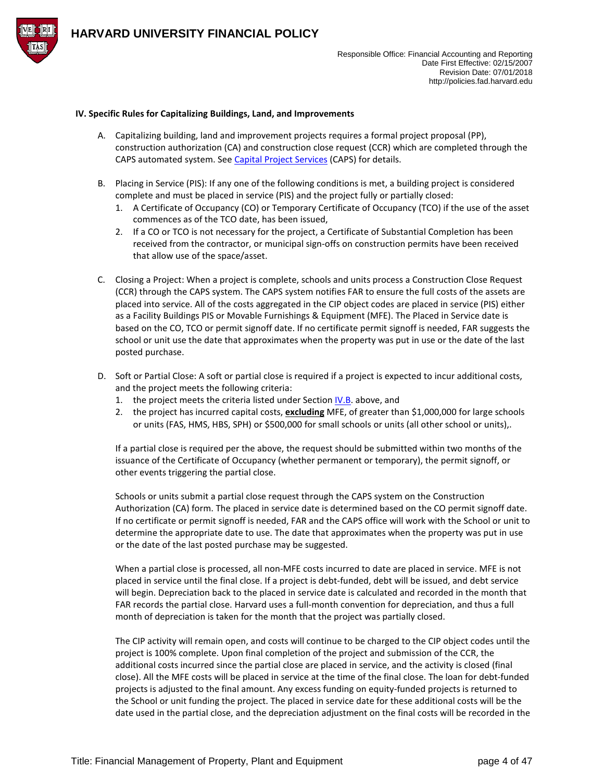

#### **IV. Specific Rules for Capitalizing Buildings, Land, and Improvements**

- A. Capitalizing building, land and improvement projects requires a formal project proposal (PP), construction authorization (CA) and construction close request (CCR) which are completed through the CAPS automated system. Se[e Capital Project Services](https://wiki.harvard.edu/confluence/pages/viewpage.action?spaceKey=hppmcaps&title=Project+Delivery+Guideline) (CAPS) for details.
- <span id="page-3-0"></span>B. Placing in Service (PIS): If any one of the following conditions is met, a building project is considered complete and must be placed in service (PIS) and the project fully or partially closed:
	- 1. A Certificate of Occupancy (CO) or Temporary Certificate of Occupancy (TCO) if the use of the asset commences as of the TCO date, has been issued,
	- 2. If a CO or TCO is not necessary for the project, a Certificate of Substantial Completion has been received from the contractor, or municipal sign-offs on construction permits have been received that allow use of the space/asset.
- C. Closing a Project: When a project is complete, schools and units process a Construction Close Request (CCR) through the CAPS system. The CAPS system notifies FAR to ensure the full costs of the assets are placed into service. All of the costs aggregated in the CIP object codes are placed in service (PIS) either as a Facility Buildings PIS or Movable Furnishings & Equipment (MFE). The Placed in Service date is based on the CO, TCO or permit signoff date. If no certificate permit signoff is needed, FAR suggests the school or unit use the date that approximates when the property was put in use or the date of the last posted purchase.
- D. Soft or Partial Close: A soft or partial close is required if a project is expected to incur additional costs, and the project meets the following criteria:
	- 1. the project meets the criteria listed under Section [IV.B.](#page-3-0) above, and
	- 2. the project has incurred capital costs, **excluding** MFE, of greater than \$1,000,000 for large schools or units (FAS, HMS, HBS, SPH) or \$500,000 for small schools or units (all other school or units),.

If a partial close is required per the above, the request should be submitted within two months of the issuance of the Certificate of Occupancy (whether permanent or temporary), the permit signoff, or other events triggering the partial close.

Schools or units submit a partial close request through the CAPS system on the Construction Authorization (CA) form. The placed in service date is determined based on the CO permit signoff date. If no certificate or permit signoff is needed, FAR and the CAPS office will work with the School or unit to determine the appropriate date to use. The date that approximates when the property was put in use or the date of the last posted purchase may be suggested.

When a partial close is processed, all non-MFE costs incurred to date are placed in service. MFE is not placed in service until the final close. If a project is debt-funded, debt will be issued, and debt service will begin. Depreciation back to the placed in service date is calculated and recorded in the month that FAR records the partial close. Harvard uses a full-month convention for depreciation, and thus a full month of depreciation is taken for the month that the project was partially closed.

The CIP activity will remain open, and costs will continue to be charged to the CIP object codes until the project is 100% complete. Upon final completion of the project and submission of the CCR, the additional costs incurred since the partial close are placed in service, and the activity is closed (final close). All the MFE costs will be placed in service at the time of the final close. The loan for debt-funded projects is adjusted to the final amount. Any excess funding on equity-funded projects is returned to the School or unit funding the project. The placed in service date for these additional costs will be the date used in the partial close, and the depreciation adjustment on the final costs will be recorded in the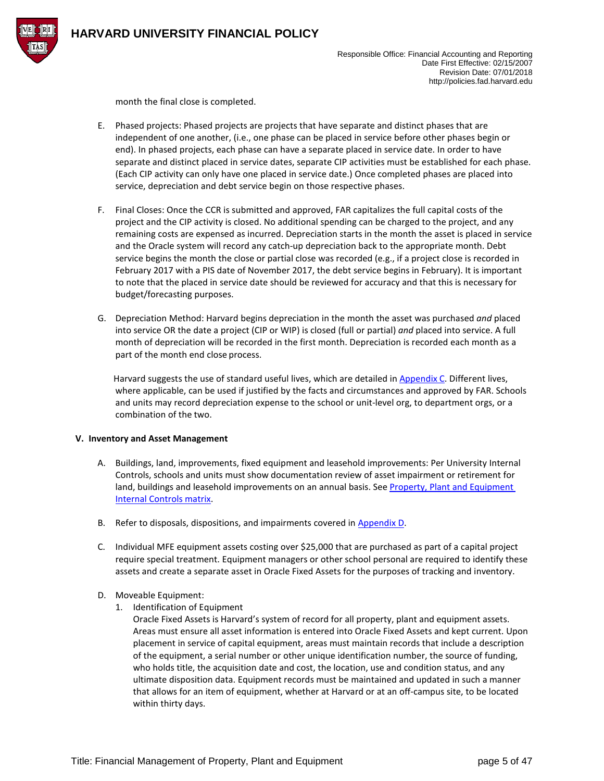

month the final close is completed.

- E. Phased projects: Phased projects are projects that have separate and distinct phases that are independent of one another, (i.e., one phase can be placed in service before other phases begin or end). In phased projects, each phase can have a separate placed in service date. In order to have separate and distinct placed in service dates, separate CIP activities must be established for each phase. (Each CIP activity can only have one placed in service date.) Once completed phases are placed into service, depreciation and debt service begin on those respective phases.
- F. Final Closes: Once the CCR is submitted and approved, FAR capitalizes the full capital costs of the project and the CIP activity is closed. No additional spending can be charged to the project, and any remaining costs are expensed as incurred. Depreciation starts in the month the asset is placed in service and the Oracle system will record any catch-up depreciation back to the appropriate month. Debt service begins the month the close or partial close was recorded (e.g., if a project close is recorded in February 2017 with a PIS date of November 2017, the debt service begins in February). It is important to note that the placed in service date should be reviewed for accuracy and that this is necessary for budget/forecasting purposes.
- G. Depreciation Method: Harvard begins depreciation in the month the asset was purchased *and* placed into service OR the date a project (CIP or WIP) is closed (full or partial) *and* placed into service. A full month of depreciation will be recorded in the first month. Depreciation is recorded each month as a part of the month end close process.

Harvard suggests the use of standard useful lives, which are detailed in [Appendix](#page-29-0) C. Different lives, where applicable, can be used if justified by the facts and circumstances and approved by FAR. Schools and units may record depreciation expense to the school or unit-level org, to department orgs, or a combination of the two.

### <span id="page-4-0"></span>**V. Inventory and Asset Management**

- A. Buildings, land, improvements, fixed equipment and leasehold improvements: Per University Internal Controls, schools and units must show documentation review of asset impairment or retirement for land, buildings and leasehold improvements on an annual basis. See [Property, Plant and Equipment](https://hwpi.harvard.edu/internalcontrols/business-cycle-controls-matrices) [Internal Controls matrix.](https://hwpi.harvard.edu/internalcontrols/business-cycle-controls-matrices)
- B. Refer to disposals, dispositions, and impairments covered in [Appendix D.](#page-31-0)
- C. Individual MFE equipment assets costing over \$25,000 that are purchased as part of a capital project require special treatment. Equipment managers or other school personal are required to identify these assets and create a separate asset in Oracle Fixed Assets for the purposes of tracking and inventory.
- D. Moveable Equipment:
	- 1. Identification of Equipment

Oracle Fixed Assets is Harvard's system of record for all property, plant and equipment assets. Areas must ensure all asset information is entered into Oracle Fixed Assets and kept current. Upon placement in service of capital equipment, areas must maintain records that include a description of the equipment, a serial number or other unique identification number, the source of funding, who holds title, the acquisition date and cost, the location, use and condition status, and any ultimate disposition data. Equipment records must be maintained and updated in such a manner that allows for an item of equipment, whether at Harvard or at an off-campus site, to be located within thirty days.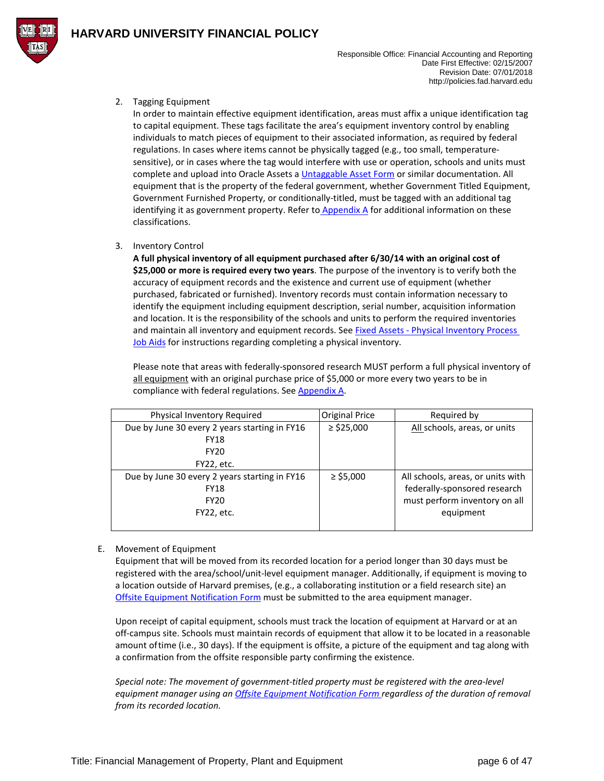

### 2. Tagging Equipment

In order to maintain effective equipment identification, areas must affix a unique identification tag to capital equipment. These tags facilitate the area's equipment inventory control by enabling individuals to match pieces of equipment to their associated information, as required by federal regulations. In cases where items cannot be physically tagged (e.g., too small, temperaturesensitive), or in cases where the tag would interfere with use or operation, schools and units must complete and upload into Oracle Assets a [Untaggable Asset Form](https://oc.finance.harvard.edu/resources/forms-and-templates) or similar documentation. All equipment that is the property of the federal government, whether Government Titled Equipment, Government Furnished Property, or conditionally-titled, must be tagged with an additional tag identifying it as government property. Refer to **[Appendix A](#page-9-0)** for additional information on these classifications.

3. Inventory Control

**A full physical inventory of all equipment purchased after 6/30/14 with an original cost of \$25,000 or more is required every two years**. The purpose of the inventory is to verify both the accuracy of equipment records and the existence and current use of equipment (whether purchased, fabricated or furnished). Inventory records must contain information necessary to identify the equipment including equipment description, serial number, acquisition information and location. It is the responsibility of the schools and units to perform the required inventories and maintain all inventory and equipment records. See Fixed Assets - [Physical Inventory Process](https://trainingportal.harvard.edu/Saba/Web_spf/NA1PRD0068/common/searchresults/inventory/ALL)  [Job Aids](https://trainingportal.harvard.edu/Saba/Web_spf/NA1PRD0068/common/searchresults/inventory/ALL) for instructions regarding completing a physical inventory.

Please note that areas with federally-sponsored research MUST perform a full physical inventory of all equipment with an original purchase price of \$5,000 or more every two years to be in compliance with federal regulations. Se[e Appendix A.](#page-9-0)

| Physical Inventory Required                                                               | <b>Original Price</b> | Required by                                                                                                     |
|-------------------------------------------------------------------------------------------|-----------------------|-----------------------------------------------------------------------------------------------------------------|
| Due by June 30 every 2 years starting in FY16<br><b>FY18</b><br><b>FY20</b><br>FY22, etc. | $\ge$ \$25,000        | All schools, areas, or units                                                                                    |
| Due by June 30 every 2 years starting in FY16<br><b>FY18</b><br><b>FY20</b><br>FY22, etc. | $\ge$ \$5,000         | All schools, areas, or units with<br>federally-sponsored research<br>must perform inventory on all<br>equipment |

### E. Movement of Equipment

Equipment that will be moved from its recorded location for a period longer than 30 days must be registered with the area/school/unit-level equipment manager. Additionally, if equipment is moving to a location outside of Harvard premises, (e.g., a collaborating institution or a field research site) an [Offsite Equipment](https://oc.finance.harvard.edu/resources/forms-and-templates) Notification Form must be submitted to the area equipment manager.

Upon receipt of capital equipment, schools must track the location of equipment at Harvard or at an off-campus site. Schools must maintain records of equipment that allow it to be located in a reasonable amount oftime (i.e., 30 days). If the equipment is offsite, a picture of the equipment and tag along with a confirmation from the offsite responsible party confirming the existence.

*Special note: The movement of government-titled property must be registered with the area-level equipment manager using a[n Offsite Equipment Notification Form r](https://oc.finance.harvard.edu/resources/forms-and-templates)egardless of the duration of removal from its recorded location.*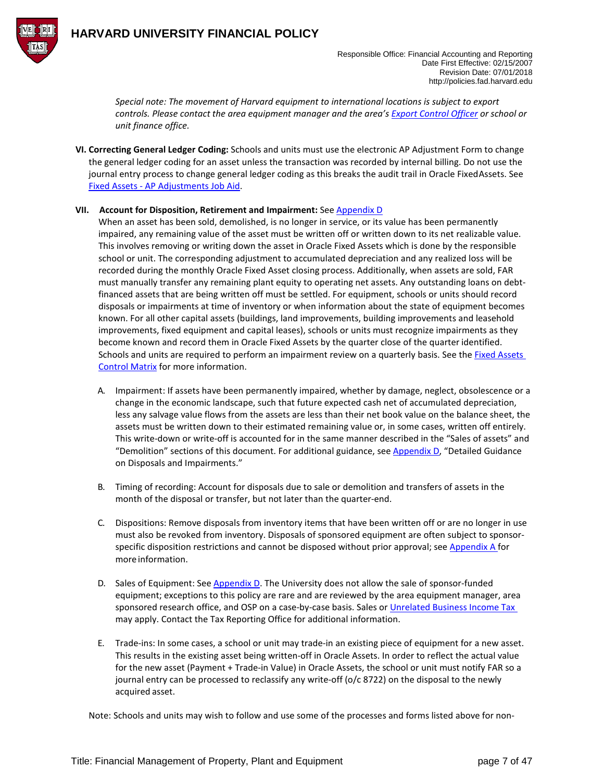



*Special note: The movement of Harvard equipment to international locations is subject to export controls. Please contact the area equipment manager and the area's [Export Control Officer](https://vpr.harvard.edu/pages/export-controls-policies-and-procedures) or school or unit finance office.*

**VI. Correcting General Ledger Coding:** Schools and units must use the electronic AP Adjustment Form to change the general ledger coding for an asset unless the transaction was recorded by internal billing. Do not use the journal entry process to change general ledger coding as this breaks the audit trail in Oracle FixedAssets. See Fixed Assets - [AP Adjustments](https://trainingportal.harvard.edu/Saba/Web_spf/NA1PRD0068/common/searchresults/ap+adjustment+fixed/ALL) Job Aid.

### **VII. Account for Disposition, Retirement and Impairment:** See [Appendix D](#page-31-0)

When an asset has been sold, demolished, is no longer in service, or its value has been permanently impaired, any remaining value of the asset must be written off or written down to its net realizable value. This involves removing or writing down the asset in Oracle Fixed Assets which is done by the responsible school or unit. The corresponding adjustment to accumulated depreciation and any realized loss will be recorded during the monthly Oracle Fixed Asset closing process. Additionally, when assets are sold, FAR must manually transfer any remaining plant equity to operating net assets. Any outstanding loans on debtfinanced assets that are being written off must be settled. For equipment, schools or units should record disposals or impairments at time of inventory or when information about the state of equipment becomes known. For all other capital assets (buildings, land improvements, building improvements and leasehold improvements, fixed equipment and capital leases), schools or units must recognize impairments as they become known and record them in Oracle Fixed Assets by the quarter close of the quarter identified. Schools and units are required to perform an impairment review on a quarterly basis. See the [Fixed Assets](https://hwpi.harvard.edu/internalcontrols/business-cycle-controls-matrices)  [Control Matrix](https://hwpi.harvard.edu/internalcontrols/business-cycle-controls-matrices) for more information.

- A. Impairment: If assets have been permanently impaired, whether by damage, neglect, obsolescence or a change in the economic landscape, such that future expected cash net of accumulated depreciation, less any salvage value flows from the assets are less than their net book value on the balance sheet, the assets must be written down to their estimated remaining value or, in some cases, written off entirely. This write-down or write-off is accounted for in the same manner described in the "Sales of assets" and "Demolition" sections of this document. For additional guidance, se[e Appendix D,](#page-31-0) "Detailed Guidance on Disposals and Impairments."
- B. Timing of recording: Account for disposals due to sale or demolition and transfers of assets in the month of the disposal or transfer, but not later than the quarter-end.
- C. Dispositions: Remove disposals from inventory items that have been written off or are no longer in use must also be revoked from inventory. Disposals of sponsored equipment are often subject to sponsor-specific disposition restrictions and cannot be disposed without prior approval; see [Appendix A](#page-9-0) for more information.
- D. Sales of Equipment: Se[e Appendix D.](#page-31-0) The University does not allow the sale of sponsor-funded equipment; exceptions to this policy are rare and are reviewed by the area equipment manager, area sponsored research office, and OSP on a case-by-case basis. Sales or Unrelated Business Income Tax may apply. Contact the Tax Reporting Office for additional information.
- E. Trade-ins: In some cases, a school or unit may trade-in an existing piece of equipment for a new asset. This results in the existing asset being written-off in Oracle Assets. In order to reflect the actual value for the new asset (Payment + Trade-in Value) in Oracle Assets, the school or unit must notify FAR so a journal entry can be processed to reclassify any write-off (o/c 8722) on the disposal to the newly acquired asset.

Note: Schools and units may wish to follow and use some of the processes and forms listed above for non-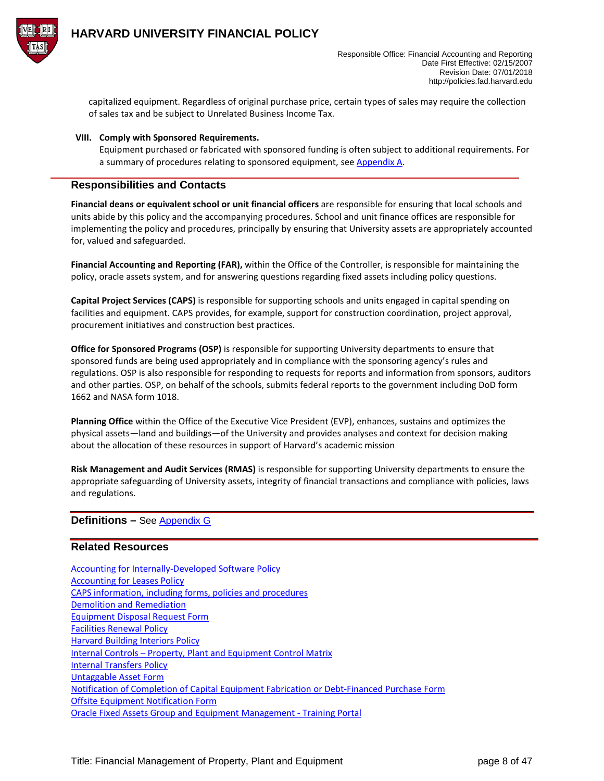

capitalized equipment. Regardless of original purchase price, certain types of sales may require the collection of sales tax and be subject to Unrelated Business Income Tax.

### **VIII. Comply with Sponsored Requirements.**

Equipment purchased or fabricated with sponsored funding is often subject to additional requirements. For a summary of procedures relating to sponsored equipment, se[e Appendix A.](#page-9-0)

### **Responsibilities and Contacts**

**Financial deans or equivalent school or unit financial officers** are responsible for ensuring that local schools and units abide by this policy and the accompanying procedures. School and unit finance offices are responsible for implementing the policy and procedures, principally by ensuring that University assets are appropriately accounted for, valued and safeguarded.

**Financial Accounting and Reporting (FAR),** within the Office of the Controller, is responsible for maintaining the policy, oracle assets system, and for answering questions regarding fixed assets including policy questions.

**Capital Project Services (CAPS)** is responsible for supporting schools and units engaged in capital spending on facilities and equipment. CAPS provides, for example, support for construction coordination, project approval, procurement initiatives and construction best practices.

**Office for Sponsored Programs (OSP)** is responsible for supporting University departments to ensure that sponsored funds are being used appropriately and in compliance with the sponsoring agency's rules and regulations. OSP is also responsible for responding to requests for reports and information from sponsors, auditors and other parties. OSP, on behalf of the schools, submits federal reports to the government including DoD form 1662 and NASA form 1018.

**Planning Office** within the Office of the Executive Vice President (EVP), enhances, sustains and optimizes the physical assets—land and buildings—of the University and provides analyses and context for decision making about the allocation of these resources in support of Harvard's academic mission

**Risk Management and Audit Services (RMAS)** is responsible for supporting University departments to ensure the appropriate safeguarding of University assets, integrity of financial transactions and compliance with policies, laws and regulations.

### **Definitions –** See [Appendix G](#page-44-0)

### **Related Resources**

[Accounting for Internally-Developed Software Policy](http://policies.fad.harvard.edu/accounting-internally-developed-software) [Accounting for Leases Policy](http://policies.fad.harvard.edu/accounting-leases) [CAPS information, including forms, policies and procedures](https://wiki.harvard.edu/confluence/pages/viewpage.action?pageId=192940708) [Demolition and Remediation](https://wiki.harvard.edu/confluence/display/hppmcaps/Demolition+and+Remediation) [Equipment Disposal Request Form](https://oc.finance.harvard.edu/resources/forms-and-templates) [Facilities Renewal Policy](https://wiki.harvard.edu/confluence/display/hppmcaps/Demolition+and+Remediation) [Harvard Building Interiors Policy](https://wiki.harvard.edu/confluence/display/hppmcaps/Demolition+and+Remediation) Internal Controls – [Property, Plant and Equipment Control Matrix](https://hwpi.harvard.edu/internalcontrols/business-cycle-controls-matrices) [Internal Transfers](http://policies.fad.harvard.edu/pages/internal-transfers) Policy [Untaggable Asset Form](https://oc.finance.harvard.edu/resources/forms-and-templates) [Notification of Completion of Capital Equipment Fabrication or Debt-Financed Purchase](https://oc.finance.harvard.edu/resources/forms-and-templates) Form [Offsite Equipment Notification Form](https://oc.finance.harvard.edu/resources/forms-and-templates) [Oracle Fixed Assets Group and Equipment Management -](https://trainingportal.harvard.edu/Saba/Web_spf/NA1PRD0068/common/groupdetail/teams000000000002882) Training Portal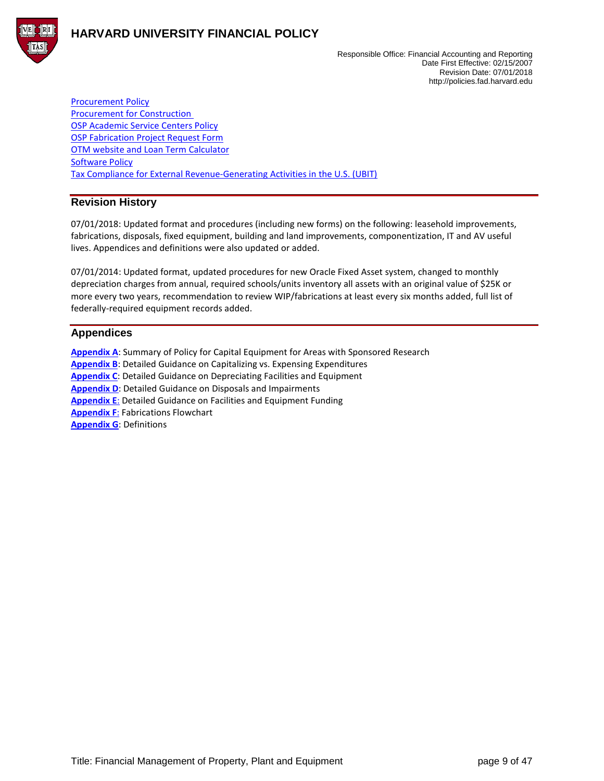



[Procurement Policy](https://policies.fad.harvard.edu/procurement) [Procurement for Construction](https://wiki.harvard.edu/confluence/display/hppmcaps/Demolition+and+Remediation)  [OSP Academic Service Centers Policy](http://osp.fad.harvard.edu/content/service-centers) [OSP Fabrication Project Request Form](http://osp.fad.harvard.edu/sites/osp.fad.harvard.edu/files/attachments/52/fabrication-project-request-form.pdf) [OTM website a](http://otm.finance.harvard.edu/pages/debt-financing)nd [Loan Term Calculator](http://hwpi.harvard.edu/os_fast/files/otm/loan_term_calculator.xlsx) **[Software Policy](http://policies.fad.harvard.edu/accounting-internally-developed-software)** [Tax Compliance for External Revenue-Generating Activities in the U.S. \(UBIT\)](https://policies.fad.harvard.edu/accounting-internally-developed-software)

### **Revision History**

07/01/2018: Updated format and procedures (including new forms) on the following: leasehold improvements, fabrications, disposals, fixed equipment, building and land improvements, componentization, IT and AV useful lives. Appendices and definitions were also updated or added.

07/01/2014: Updated format, updated procedures for new Oracle Fixed Asset system, changed to monthly depreciation charges from annual, required schools/units inventory all assets with an original value of \$25K or more every two years, recommendation to review WIP/fabrications at least every six months added, full list of federally-required equipment records added.

### **Appendices**

**[Appendix A](#page-9-0)**: Summary of Policy for Capital Equipment for Areas with Sponsored Research **[Appendix B](#page-14-0):** Detailed Guidance on Capitalizing vs. Expensing Expenditures **[Appendix C](#page-29-0)**: Detailed Guidance on Depreciating Facilities and Equipment **[Appendix D](#page-31-0)**: Detailed Guidance on Disposals and Impairments **[Appendix E](#page-38-0)**: Detailed Guidance on Facilities and Equipment Funding **[Appendix F](#page-44-0): Fabrications Flowchart [Appendix G](#page-43-0)**: Definitions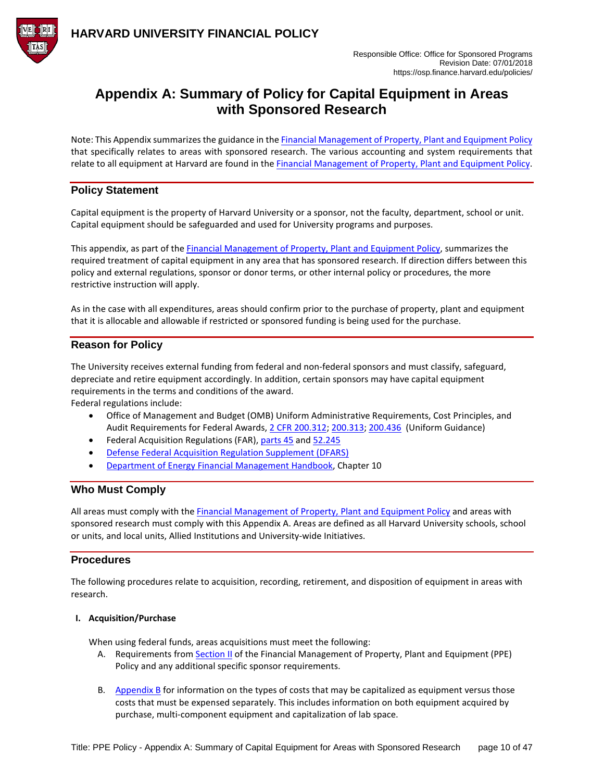

# <span id="page-9-0"></span>**Appendix A: Summary of Policy for Capital Equipment in Areas with Sponsored Research**

Note: This Appendix summarizes the guidance in th[e Financial Management of Property, Plant and Equipment Policy](#page-0-1) that specifically relates to areas with sponsored research. The various accounting and system requirements that relate to all equipment at Harvard are found in th[e Financial Management of Property, Plant and](https://policies.fad.harvard.edu/pages/facilities-and-equipment) Equipment Policy.

### **Policy Statement**

Capital equipment is the property of Harvard University or a sponsor, not the faculty, department, school or unit. Capital equipment should be safeguarded and used for University programs and purposes.

This appendix, as part of the [Financial Management of Property, Plant and Equipment Policy,](#page-0-1) summarizes the required treatment of capital equipment in any area that has sponsored research. If direction differs between this policy and external regulations, sponsor or donor terms, or other internal policy or procedures, the more restrictive instruction will apply.

As in the case with all expenditures, areas should confirm prior to the purchase of property, plant and equipment that it is allocable and allowable if restricted or sponsored funding is being used for the purchase.

### **Reason for Policy**

The University receives external funding from federal and non-federal sponsors and must classify, safeguard, depreciate and retire equipment accordingly. In addition, certain sponsors may have capital equipment requirements in the terms and conditions of the award.

Federal regulations include:

- Office of Management and Budget (OMB) Uniform Administrative Requirements, Cost Principles, and Audit Requirements for Federal Awards[, 2 CFR 200.312;](https://www.ecfr.gov/cgi-bin/retrieveECFR?gp=&SID=a2d2f74eb4490eb05b8da808153bf412&mc=true&n=sp2.1.200.d&r=SUBPART&ty=HTML#se2.1.200_1312) [200.313;](https://www.ecfr.gov/cgi-bin/retrieveECFR?gp=&SID=a2d2f74eb4490eb05b8da808153bf412&mc=true&n=sp2.1.200.d&r=SUBPART&ty=HTML#se2.1.200_1313) [200.436](https://www.ecfr.gov/cgi-bin/retrieveECFR?gp=&SID=a2d2f74eb4490eb05b8da808153bf412&mc=true&n=pt2.1.200&r=PART&ty=HTML#se2.1.200_1436) (Uniform Guidance)
- Federal Acquisition Regulations (FAR)[, parts 45](https://www.ecfr.gov/cgi-bin/text-idx?SID=c20479c8340d228158df8628cc8c9435&mc=true&node=pt48.1.45&rgn=div5) an[d 52.245](https://www.ecfr.gov/cgi-bin/text-idx?SID=c20479c8340d228158df8628cc8c9435&mc=true&node=pt48.2.52&rgn=div5#se48.2.52_1245_61)
- [Defense Federal Acquisition Regulation Supplement \(DFARS\)](https://www.ecfr.gov/cgi-bin/text-idx?SID=03817eaa07cdd125237861ce7183151c&mc=true&tpl=/ecfrbrowse/Title48/48cfrv3_02.tpl#0)
- [Department of Energy Financial Management Handbook,](https://energy.gov/cfo/downloads/financial-management-handbook) Chapter 10

### **Who Must Comply**

All areas must comply with the [Financial Management of Property, Plant and Equipment Policy](https://policies.fad.harvard.edu/pages/facilities-and-equipment) and areas with sponsored research must comply with this Appendix A. Areas are defined as all Harvard University schools, school or units, and local units, Allied Institutions and University-wide Initiatives.

### **Procedures**

The following procedures relate to acquisition, recording, retirement, and disposition of equipment in areas with research.

### **I. Acquisition/Purchase**

When using federal funds, areas acquisitions must meet the following:

- A. Requirements fro[m Section II](#page-0-0) of the Financial Management of Property, Plant and Equipment (PPE) Policy and any additional specific sponsor requirements.
- B. Appendix  $B$  for information on the types of costs that may be capitalized as equipment versus those costs that must be expensed separately. This includes information on both equipment acquired by purchase, multi-component equipment and capitalization of lab space.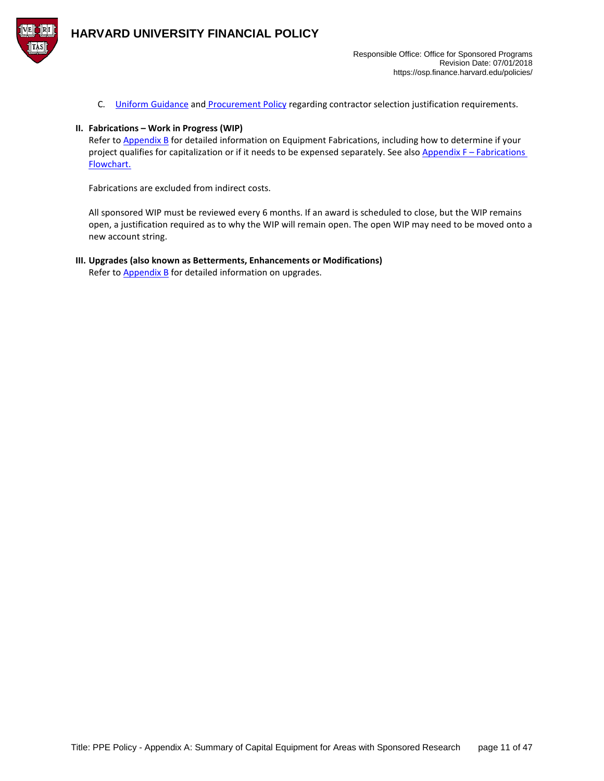

C. [Uniform Guidance](https://www.ecfr.gov/cgi-bin/text-idx?%20SID=704835d27377ef5213a51c149de40cab&node=2:1.1.2.2.1&rgn=div5#sg2.1.200_1316.sg3) and [Procurement Policy](https://policies.fad.harvard.edu/procurement) regarding contractor selection justification requirements.

#### **II. Fabrications – Work in Progress (WIP)**

Refer to **[Appendix B](#page-14-0)** for detailed information on Equipment Fabrications, including how to determine if your project qualifies for capitalization or if it needs to be expensed separately. See also Appendix F - Fabrications [Flowchart.](#page-43-0)

Fabrications are excluded from indirect costs.

All sponsored WIP must be reviewed every 6 months. If an award is scheduled to close, but the WIP remains open, a justification required as to why the WIP will remain open. The open WIP may need to be moved onto a new account string.

# **III. Upgrades (also known as Betterments, Enhancements or Modifications)**

Refer to [Appendix B](#page-14-0) for detailed information on upgrades.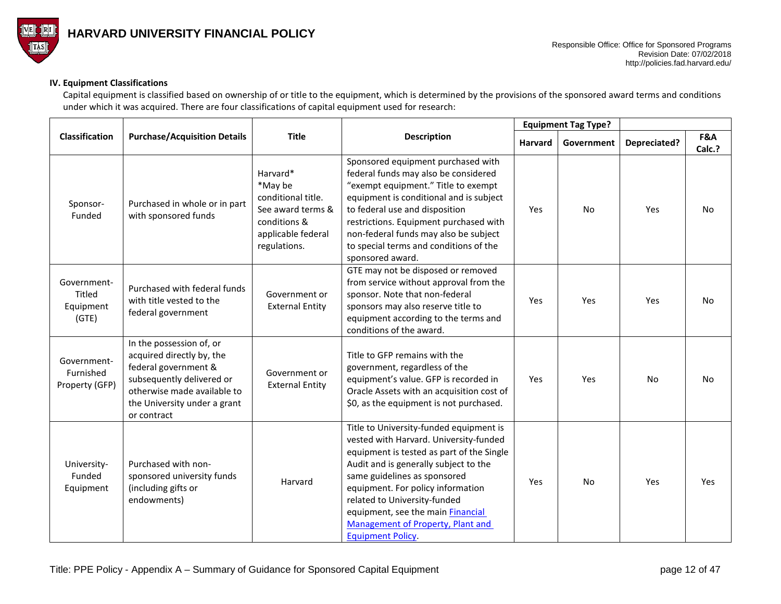

### **IV. Equipment Classifications**

Capital equipment is classified based on ownership of or title to the equipment, which is determined by the provisions of the sponsored award terms and conditions under which it was acquired. There are four classifications of capital equipment used for research:

<span id="page-11-0"></span>

|                                             |                                                                                                                                                                                          |                                                                                                                      |                                                                                                                                                                                                                                                                                                                                                                                           |                | <b>Equipment Tag Type?</b> |                     |               |
|---------------------------------------------|------------------------------------------------------------------------------------------------------------------------------------------------------------------------------------------|----------------------------------------------------------------------------------------------------------------------|-------------------------------------------------------------------------------------------------------------------------------------------------------------------------------------------------------------------------------------------------------------------------------------------------------------------------------------------------------------------------------------------|----------------|----------------------------|---------------------|---------------|
| Classification                              | <b>Purchase/Acquisition Details</b>                                                                                                                                                      | <b>Title</b>                                                                                                         | Description                                                                                                                                                                                                                                                                                                                                                                               | <b>Harvard</b> | Government                 | <b>Depreciated?</b> | F&A<br>Calc.? |
| Sponsor-<br>Funded                          | Purchased in whole or in part<br>with sponsored funds                                                                                                                                    | Harvard*<br>*May be<br>conditional title.<br>See award terms &<br>conditions &<br>applicable federal<br>regulations. | Sponsored equipment purchased with<br>federal funds may also be considered<br>"exempt equipment." Title to exempt<br>equipment is conditional and is subject<br>to federal use and disposition<br>restrictions. Equipment purchased with<br>non-federal funds may also be subject<br>to special terms and conditions of the<br>sponsored award.                                           | <b>Yes</b>     | <b>No</b>                  | Yes                 | No            |
| Government-<br>Titled<br>Equipment<br>(GTE) | Purchased with federal funds<br>with title vested to the<br>federal government                                                                                                           | Government or<br><b>External Entity</b>                                                                              | GTE may not be disposed or removed<br>from service without approval from the<br>sponsor. Note that non-federal<br>sponsors may also reserve title to<br>equipment according to the terms and<br>conditions of the award.                                                                                                                                                                  | Yes            | Yes                        | Yes                 | No            |
| Government-<br>Furnished<br>Property (GFP)  | In the possession of, or<br>acquired directly by, the<br>federal government &<br>subsequently delivered or<br>otherwise made available to<br>the University under a grant<br>or contract | Government or<br><b>External Entity</b>                                                                              | Title to GFP remains with the<br>government, regardless of the<br>equipment's value. GFP is recorded in<br>Oracle Assets with an acquisition cost of<br>\$0, as the equipment is not purchased.                                                                                                                                                                                           | Yes            | Yes                        | No                  | No            |
| University-<br>Funded<br>Equipment          | Purchased with non-<br>sponsored university funds<br>(including gifts or<br>endowments)                                                                                                  | Harvard                                                                                                              | Title to University-funded equipment is<br>vested with Harvard. University-funded<br>equipment is tested as part of the Single<br>Audit and is generally subject to the<br>same guidelines as sponsored<br>equipment. For policy information<br>related to University-funded<br>equipment, see the main <b>Financial</b><br>Management of Property, Plant and<br><b>Equipment Policy.</b> | Yes            | <b>No</b>                  | Yes                 | Yes           |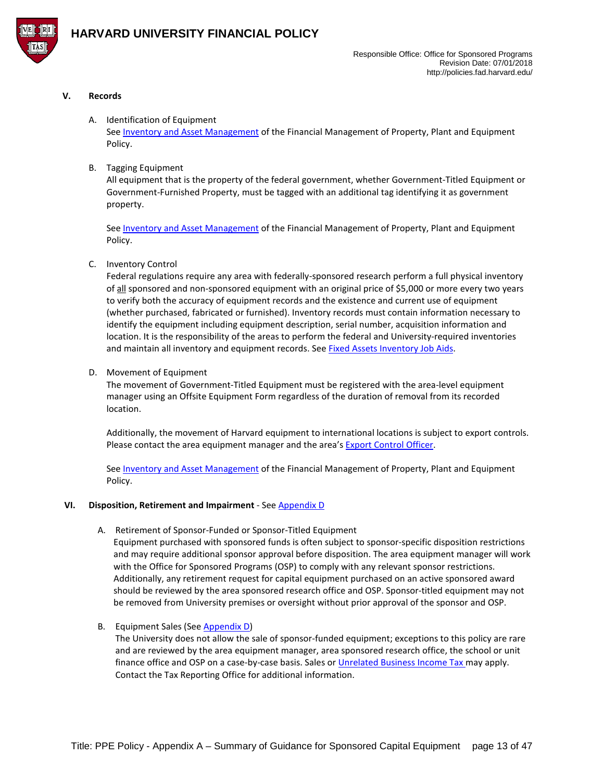

### **V. Records**

### A. Identification of Equipment

See [Inventory and Asset Management](#page-4-0) of the Financial Management of Property, Plant and Equipment Policy.

### B. Tagging Equipment

All equipment that is the property of the federal government, whether Government-Titled Equipment or Government-Furnished Property, must be tagged with an additional tag identifying it as government property.

See [Inventory and Asset Management](#page-4-0) of the Financial Management of Property, Plant and Equipment Policy.

### C. Inventory Control

Federal regulations require any area with federally-sponsored research perform a full physical inventory of all sponsored and non-sponsored equipment with an original price of \$5,000 or more every two years to verify both the accuracy of equipment records and the existence and current use of equipment (whether purchased, fabricated or furnished). Inventory records must contain information necessary to identify the equipment including equipment description, serial number, acquisition information and location. It is the responsibility of the areas to perform the federal and University-required inventories and maintain all inventory and equipment records. See [Fixed Assets Inventory Job Aids.](https://trainingportal.harvard.edu/Saba/Web_spf/NA1PRD0068/common/searchresults/inventory/ALL)

### D. Movement of Equipment

The movement of Government-Titled Equipment must be registered with the area-level equipment manager using an Offsite Equipment Form regardless of the duration of removal from its recorded location.

Additionally, the movement of Harvard equipment to international locations is subject to export controls. Please contact the area equipment manager and the area's **Export Control Officer**.

See [Inventory and Asset Management](#page-4-0) of the Financial Management of Property, Plant and Equipment Policy.

### **VI. Disposition, Retirement and Impairment** - See [Appendix D](#page-31-1)

A. Retirement of Sponsor-Funded or Sponsor-Titled Equipment

<span id="page-12-0"></span>Equipment purchased with sponsored funds is often subject to sponsor-specific disposition restrictions and may require additional sponsor approval before disposition. The area equipment manager will work with the Office for Sponsored Programs (OSP) to comply with any relevant sponsor restrictions. Additionally, any retirement request for capital equipment purchased on an active sponsored award should be reviewed by the area sponsored research office and OSP. Sponsor-titled equipment may not be removed from University premises or oversight without prior approval of the sponsor and OSP.

### B. Equipment Sales (See [Appendix D\)](#page-31-0)

The University does not allow the sale of sponsor-funded equipment; exceptions to this policy are rare and are reviewed by the area equipment manager, area sponsored research office, the school or unit finance office and OSP on a case-by-case basis. Sales or [Unrelated Business Income Tax m](https://policies.fad.harvard.edu/pages/tax-compliance-external-revenue-generating-activities)ay apply. Contact the Tax Reporting Office for additional information.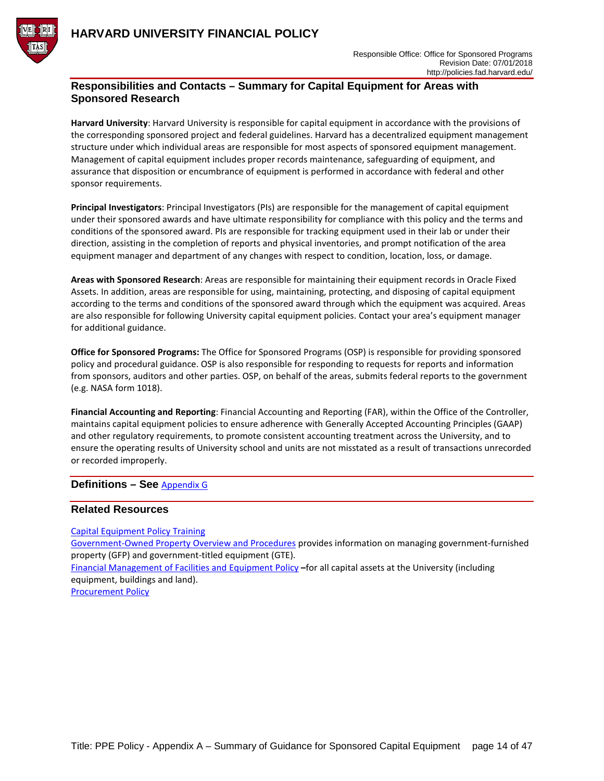

### **Responsibilities and Contacts – Summary for Capital Equipment for Areas with Sponsored Research**

**Harvard University**: Harvard University is responsible for capital equipment in accordance with the provisions of the corresponding sponsored project and federal guidelines. Harvard has a decentralized equipment management structure under which individual areas are responsible for most aspects of sponsored equipment management. Management of capital equipment includes proper records maintenance, safeguarding of equipment, and assurance that disposition or encumbrance of equipment is performed in accordance with federal and other sponsor requirements.

**Principal Investigators**: Principal Investigators (PIs) are responsible for the management of capital equipment under their sponsored awards and have ultimate responsibility for compliance with this policy and the terms and conditions of the sponsored award. PIs are responsible for tracking equipment used in their lab or under their direction, assisting in the completion of reports and physical inventories, and prompt notification of the area equipment manager and department of any changes with respect to condition, location, loss, or damage.

**Areas with Sponsored Research**: Areas are responsible for maintaining their equipment records in Oracle Fixed Assets. In addition, areas are responsible for using, maintaining, protecting, and disposing of capital equipment according to the terms and conditions of the sponsored award through which the equipment was acquired. Areas are also responsible for following University capital equipment policies. Contact your area's equipment manager for additional guidance.

**Office for Sponsored Programs:** The Office for Sponsored Programs (OSP) is responsible for providing sponsored policy and procedural guidance. OSP is also responsible for responding to requests for reports and information from sponsors, auditors and other parties. OSP, on behalf of the areas, submits federal reports to the government (e.g. NASA form 1018).

**Financial Accounting and Reporting**: Financial Accounting and Reporting (FAR), within the Office of the Controller, maintains capital equipment policies to ensure adherence with Generally Accepted Accounting Principles (GAAP) and other regulatory requirements, to promote consistent accounting treatment across the University, and to ensure the operating results of University school and units are not misstated as a result of transactions unrecorded or recorded improperly.

### **Definitions – See** [Appendix G](#page-44-0)

### **Related Resources**

[Capital Equipment Policy Training](https://trainingportal.harvard.edu/Saba/Web_spf/NA1PRD0068/common/leclassdetail/regdw000000000132722?context=user&learnerId=emplo000000000072116)

[Government-Owned Property Overview and Procedures](https://osp.finance.harvard.edu/capital-equipment-policy) provides information on managing government-furnished property (GFP) and government-titled equipment (GTE).

[Financial Management of Facilities and Equipment Policy](https://policies.fad.harvard.edu/pages/facilities-and-equipment) **–**for all capital assets at the University (including equipment, buildings and land).

[Procurement Policy](https://policies.fad.harvard.edu/procurement)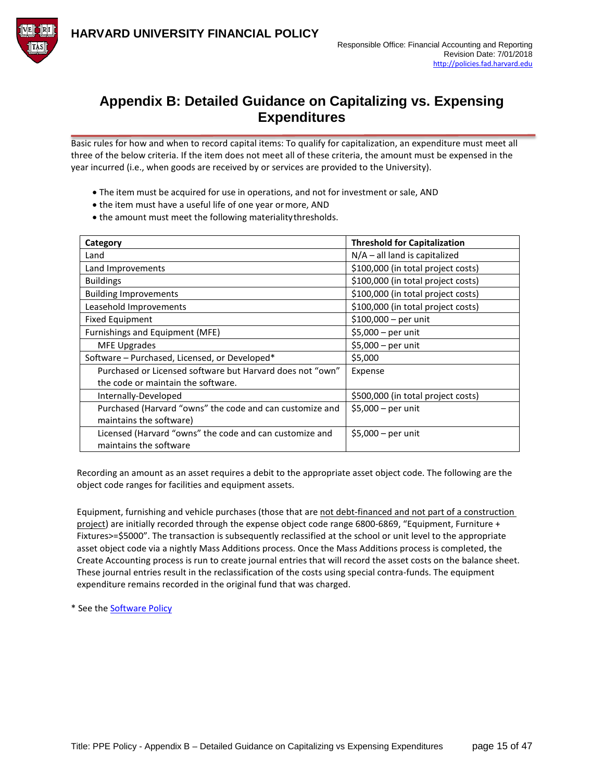

## <span id="page-14-0"></span>**Appendix B: Detailed Guidance on Capitalizing vs. Expensing Expenditures**

Basic rules for how and when to record capital items: To qualify for capitalization, an expenditure must meet all three of the below criteria. If the item does not meet all of these criteria, the amount must be expensed in the year incurred (i.e., when goods are received by or services are provided to the University).

- The item must be acquired for use in operations, and not for investment or sale, AND
- the item must have a useful life of one year ormore, AND
- the amount must meet the following materialitythresholds.

| Category                                                  | <b>Threshold for Capitalization</b> |
|-----------------------------------------------------------|-------------------------------------|
| Land                                                      | $N/A$ – all land is capitalized     |
| Land Improvements                                         | \$100,000 (in total project costs)  |
| <b>Buildings</b>                                          | \$100,000 (in total project costs)  |
| <b>Building Improvements</b>                              | \$100,000 (in total project costs)  |
| Leasehold Improvements                                    | \$100,000 (in total project costs)  |
| <b>Fixed Equipment</b>                                    | $$100,000 - per$ unit               |
| Furnishings and Equipment (MFE)                           | \$5,000 - per unit                  |
| <b>MFE Upgrades</b>                                       | \$5,000 - per unit                  |
| Software - Purchased, Licensed, or Developed*             | \$5,000                             |
| Purchased or Licensed software but Harvard does not "own" | Expense                             |
| the code or maintain the software.                        |                                     |
| Internally-Developed                                      | \$500,000 (in total project costs)  |
| Purchased (Harvard "owns" the code and can customize and  | \$5,000 – per unit                  |
| maintains the software)                                   |                                     |
| Licensed (Harvard "owns" the code and can customize and   | \$5,000 – per unit                  |
| maintains the software                                    |                                     |

Recording an amount as an asset requires a debit to the appropriate asset object code. The following are the object code ranges for facilities and equipment assets.

Equipment, furnishing and vehicle purchases (those that are not debt-financed and not part of a construction project) are initially recorded through the expense object code range 6800-6869, "Equipment, Furniture + Fixtures>=\$5000". The transaction is subsequently reclassified at the school or unit level to the appropriate asset object code via a nightly Mass Additions process. Once the Mass Additions process is completed, the Create Accounting process is run to create journal entries that will record the asset costs on the balance sheet. These journal entries result in the reclassification of the costs using special contra-funds. The equipment expenditure remains recorded in the original fund that was charged.

\* See the [Software Policy](https://policies.fad.harvard.edu/accounting-internally-developed-software)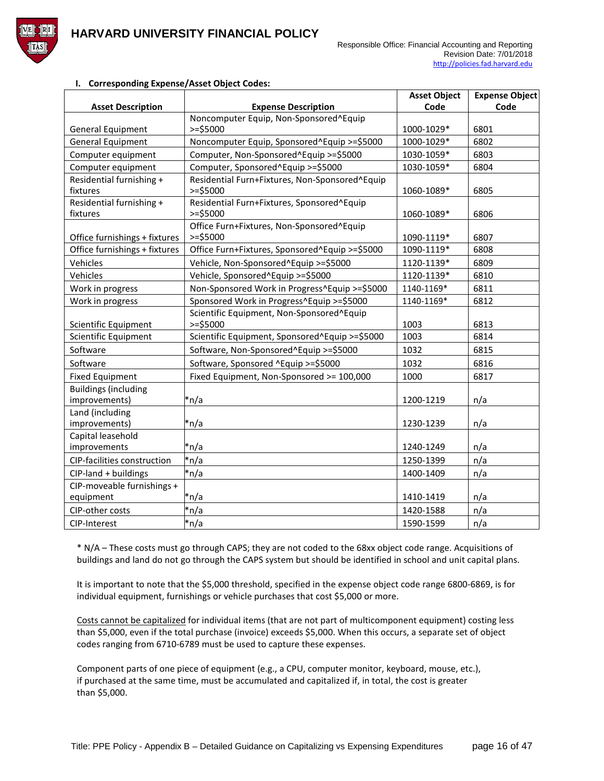



| I. Corresponding Expense/Asset Object Codes: |  |  |
|----------------------------------------------|--|--|
|                                              |  |  |

|                                    |                                                | <b>Asset Object</b> | <b>Expense Object</b> |
|------------------------------------|------------------------------------------------|---------------------|-----------------------|
| <b>Asset Description</b>           | <b>Expense Description</b>                     | Code                | Code                  |
|                                    | Noncomputer Equip, Non-Sponsored^Equip         |                     |                       |
| General Equipment                  | $>=$ \$5000                                    | 1000-1029*          | 6801                  |
| <b>General Equipment</b>           | Noncomputer Equip, Sponsored^Equip >=\$5000    | 1000-1029*          | 6802                  |
| Computer equipment                 | Computer, Non-Sponsored^Equip >=\$5000         | 1030-1059*          | 6803                  |
| Computer equipment                 | Computer, Sponsored^Equip >=\$5000             | 1030-1059*          | 6804                  |
| Residential furnishing +           | Residential Furn+Fixtures, Non-Sponsored^Equip |                     |                       |
| fixtures                           | $>=$ \$5000                                    | 1060-1089*          | 6805                  |
| Residential furnishing +           | Residential Furn+Fixtures, Sponsored^Equip     |                     |                       |
| fixtures                           | $>=$ \$5000                                    | 1060-1089*          | 6806                  |
|                                    | Office Furn+Fixtures, Non-Sponsored^Equip      |                     |                       |
| Office furnishings + fixtures      | $>=$ \$5000                                    | 1090-1119*          | 6807                  |
| Office furnishings + fixtures      | Office Furn+Fixtures, Sponsored^Equip >=\$5000 | 1090-1119*          | 6808                  |
| Vehicles                           | Vehicle, Non-Sponsored^Equip >=\$5000          | 1120-1139*          | 6809                  |
| Vehicles                           | Vehicle, Sponsored^Equip >=\$5000              | 1120-1139*          | 6810                  |
| Work in progress                   | Non-Sponsored Work in Progress^Equip >=\$5000  | 1140-1169*          | 6811                  |
| Work in progress                   | Sponsored Work in Progress^Equip >=\$5000      | 1140-1169*          | 6812                  |
|                                    | Scientific Equipment, Non-Sponsored^Equip      |                     |                       |
| Scientific Equipment               | $>=$ \$5000                                    | 1003                | 6813                  |
| Scientific Equipment               | Scientific Equipment, Sponsored^Equip >=\$5000 | 1003                | 6814                  |
| Software                           | Software, Non-Sponsored^Equip >=\$5000         | 1032                | 6815                  |
| Software                           | Software, Sponsored ^Equip >=\$5000            | 1032                | 6816                  |
| <b>Fixed Equipment</b>             | Fixed Equipment, Non-Sponsored >= 100,000      | 1000                | 6817                  |
| <b>Buildings (including</b>        |                                                |                     |                       |
| improvements)                      | *n/a                                           | 1200-1219           | n/a                   |
| Land (including                    |                                                |                     |                       |
| improvements)                      | *n/a                                           | 1230-1239           | n/a                   |
| Capital leasehold                  |                                                |                     |                       |
| improvements                       | *n/a                                           | 1240-1249           | n/a                   |
| <b>CIP-facilities construction</b> | *n/a                                           | 1250-1399           | n/a                   |
| CIP-land + buildings               | *n/a                                           | 1400-1409           | n/a                   |
| CIP-moveable furnishings +         |                                                |                     |                       |
| equipment                          | *n/a                                           | 1410-1419           | n/a                   |
| CIP-other costs                    | *n/a                                           | 1420-1588           | n/a                   |
| CIP-Interest                       | $*n/a$                                         | 1590-1599           | n/a                   |

\* N/A – These costs must go through CAPS; they are not coded to the 68xx object code range. Acquisitions of buildings and land do not go through the CAPS system but should be identified in school and unit capital plans.

It is important to note that the \$5,000 threshold, specified in the expense object code range 6800-6869, is for individual equipment, furnishings or vehicle purchases that cost \$5,000 or more.

Costs cannot be capitalized for individual items (that are not part of multicomponent equipment) costing less than \$5,000, even if the total purchase (invoice) exceeds \$5,000. When this occurs, a separate set of object codes ranging from 6710-6789 must be used to capture these expenses.

Component parts of one piece of equipment (e.g., a CPU, computer monitor, keyboard, mouse, etc.), if purchased at the same time, must be accumulated and capitalized if, in total, the cost is greater than \$5,000.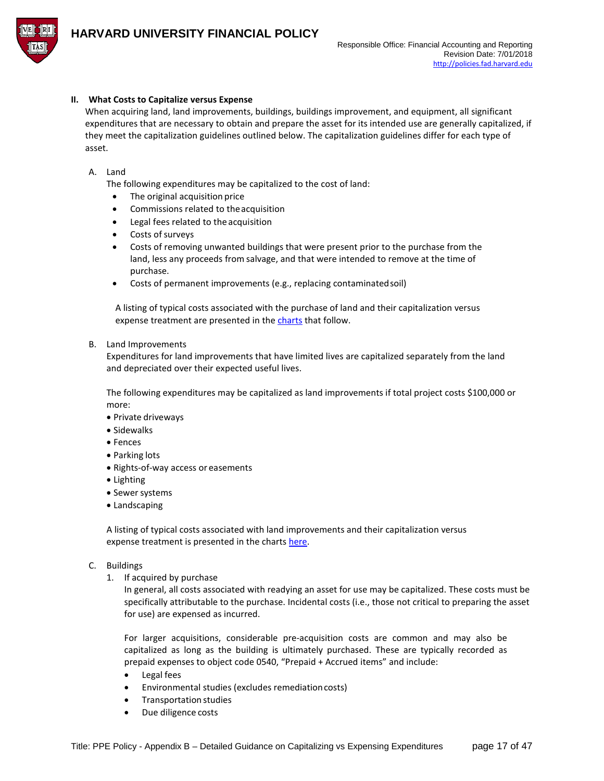

### **II. What Costs to Capitalize versus Expense**

When acquiring land, land improvements, buildings, buildings improvement, and equipment, all significant expenditures that are necessary to obtain and prepare the asset for its intended use are generally capitalized, if they meet the capitalization guidelines outlined below. The capitalization guidelines differ for each type of asset.

### A. Land

The following expenditures may be capitalized to the cost of land:

- The original acquisition price
- Commissions related to theacquisition
- Legal fees related to the acquisition
- Costs of surveys
- Costs of removing unwanted buildings that were present prior to the purchase from the land, less any proceeds from salvage, and that were intended to remove at the time of purchase.
- Costs of permanent improvements (e.g., replacing contaminated soil)

A listing of typical costs associated with the purchase of land and their capitalization versus expense treatment are presented in th[e charts](#page-25-0) that follow.

B. Land Improvements

Expenditures for land improvements that have limited lives are capitalized separately from the land and depreciated over their expected useful lives.

The following expenditures may be capitalized as land improvements if total project costs \$100,000 or more:

- Private driveways
- Sidewalks
- Fences
- Parking lots
- Rights-of-way access or easements
- Lighting
- Sewer systems
- Landscaping

A listing of typical costs associated with land improvements and their capitalization versus expense treatment is presented in the charts [here.](#page-24-0)

- C. Buildings
	- 1. If acquired by purchase

In general, all costs associated with readying an asset for use may be capitalized. These costs must be specifically attributable to the purchase. Incidental costs (i.e., those not critical to preparing the asset for use) are expensed as incurred.

For larger acquisitions, considerable pre-acquisition costs are common and may also be capitalized as long as the building is ultimately purchased. These are typically recorded as prepaid expenses to object code 0540, "Prepaid + Accrued items" and include:

- Legal fees
- Environmental studies (excludes remediationcosts)
- Transportation studies
- Due diligence costs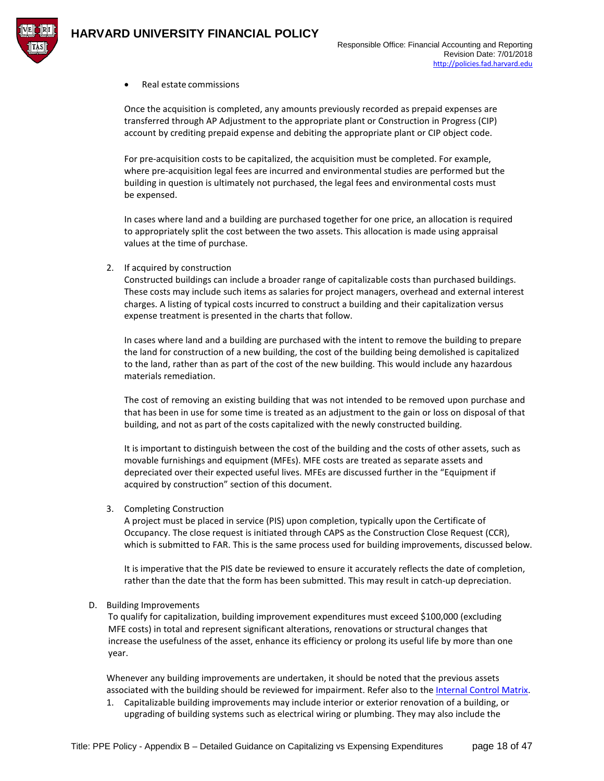

• Real estate commissions

Once the acquisition is completed, any amounts previously recorded as prepaid expenses are transferred through AP Adjustment to the appropriate plant or Construction in Progress (CIP) account by crediting prepaid expense and debiting the appropriate plant or CIP object code.

For pre-acquisition costs to be capitalized, the acquisition must be completed. For example, where pre-acquisition legal fees are incurred and environmental studies are performed but the building in question is ultimately not purchased, the legal fees and environmental costs must be expensed.

In cases where land and a building are purchased together for one price, an allocation is required to appropriately split the cost between the two assets. This allocation is made using appraisal values at the time of purchase.

2. If acquired by construction

Constructed buildings can include a broader range of capitalizable costs than purchased buildings. These costs may include such items as salaries for project managers, overhead and external interest charges. A listing of typical costs incurred to construct a building and their capitalization versus expense treatment is presented in the charts that follow.

In cases where land and a building are purchased with the intent to remove the building to prepare the land for construction of a new building, the cost of the building being demolished is capitalized to the land, rather than as part of the cost of the new building. This would include any hazardous materials remediation.

The cost of removing an existing building that was not intended to be removed upon purchase and that has been in use for some time is treated as an adjustment to the gain or loss on disposal of that building, and not as part of the costs capitalized with the newly constructed building.

It is important to distinguish between the cost of the building and the costs of other assets, such as movable furnishings and equipment (MFEs). MFE costs are treated as separate assets and depreciated over their expected useful lives. MFEs are discussed further in the "Equipment if acquired by construction" section of this document.

3. Completing Construction

A project must be placed in service (PIS) upon completion, typically upon the Certificate of Occupancy. The close request is initiated through CAPS as the Construction Close Request (CCR), which is submitted to FAR. This is the same process used for building improvements, discussed below.

It is imperative that the PIS date be reviewed to ensure it accurately reflects the date of completion, rather than the date that the form has been submitted. This may result in catch-up depreciation.

D. Building Improvements

To qualify for capitalization, building improvement expenditures must exceed \$100,000 (excluding MFE costs) in total and represent significant alterations, renovations or structural changes that increase the usefulness of the asset, enhance its efficiency or prolong its useful life by more than one year.

Whenever any building improvements are undertaken, it should be noted that the previous assets associated with the building should be reviewed for impairment. Refer also to the [Internal Control Matrix.](https://hwpi.harvard.edu/internalcontrols/business-cycle-controls-matrices)

1. Capitalizable building improvements may include interior or exterior renovation of a building, or upgrading of building systems such as electrical wiring or plumbing. They may also include the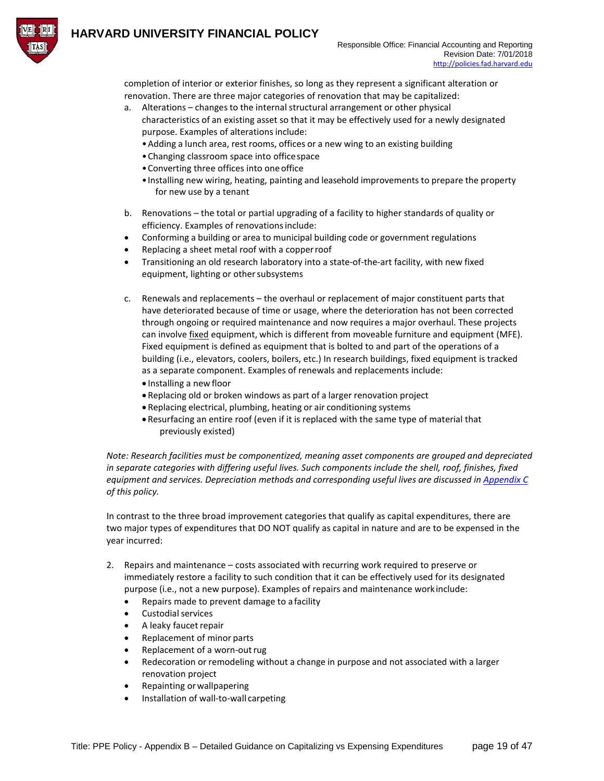

completion of interior or exterior finishes, so long as they represent a significant alteration or renovation. There are three major categories of renovation that may be capitalized:

- a. Alterations changes to the internal structural arrangement or other physical characteristics of an existing asset so that it may be effectively used for a newly designated purpose. Examples of alterationsinclude:
	- •Adding a lunch area, rest rooms, offices or a new wing to an existing building
	- •Changing classroom space into officespace
	- •Converting three offices into oneoffice
	- •Installing new wiring, heating, painting and leasehold improvements to prepare the property for new use by a tenant
- b. Renovations the total or partial upgrading of a facility to higher standards of quality or efficiency. Examples of renovationsinclude:
- Conforming a building or area to municipal building code or government regulations
- Replacing a sheet metal roof with a copperroof
- Transitioning an old research laboratory into a state-of-the-art facility, with new fixed equipment, lighting or other subsystems
- c. Renewals and replacements the overhaul or replacement of major constituent parts that have deteriorated because of time or usage, where the deterioration has not been corrected through ongoing or required maintenance and now requires a major overhaul. These projects can involve fixed equipment, which is different from moveable furniture and equipment (MFE). Fixed equipment is defined as equipment that is bolted to and part of the operations of a building (i.e., elevators, coolers, boilers, etc.) In research buildings, fixed equipment is tracked as a separate component. Examples of renewals and replacements include:
	- Installing a new floor
	- Replacing old or broken windows as part of a larger renovation project
	- Replacing electrical, plumbing, heating or air conditioning systems
	- Resurfacing an entire roof (even if it is replaced with the same type of material that previously existed)

*Note: Research facilities must be componentized, meaning asset components are grouped and depreciated in separate categories with differing useful lives. Such components include the shell, roof, finishes, fixed equipment and services. Depreciation methods and corresponding useful lives are discussed in [Appendix C](#page-29-0) of this policy.*

In contrast to the three broad improvement categories that qualify as capital expenditures, there are two major types of expenditures that DO NOT qualify as capital in nature and are to be expensed in the year incurred:

- 2. Repairs and maintenance costs associated with recurring work required to preserve or immediately restore a facility to such condition that it can be effectively used for its designated purpose (i.e., not a new purpose). Examples of repairs and maintenance workinclude:
	- Repairs made to prevent damage to afacility
	- **•** Custodial services
	- A leaky faucet repair
	- Replacement of minor parts
	- Replacement of a worn-out rug
	- Redecoration or remodeling without a change in purpose and not associated with a larger renovation project
	- Repainting orwallpapering
	- Installation of wall-to-wall carpeting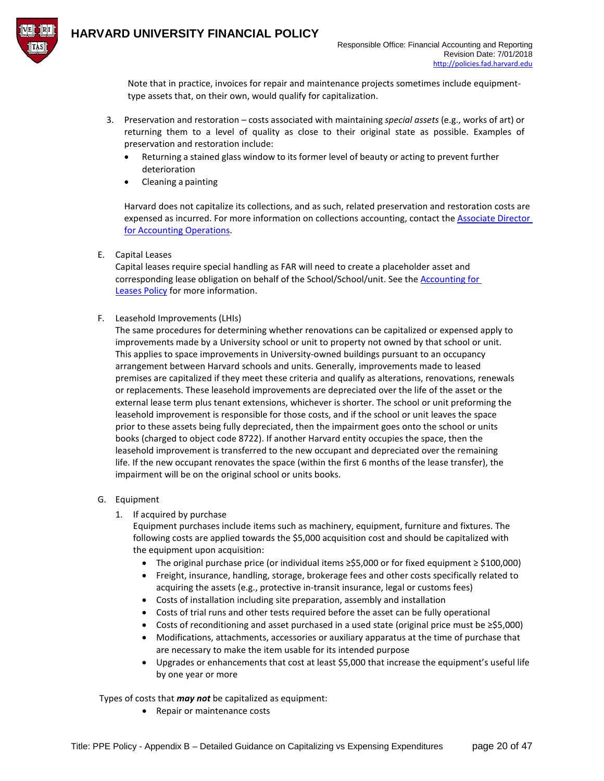

Note that in practice, invoices for repair and maintenance projects sometimes include equipmenttype assets that, on their own, would qualify for capitalization.

- 3. Preservation and restoration costs associated with maintaining *special assets* (e.g., works of art) or returning them to a level of quality as close to their original state as possible. Examples of preservation and restoration include:
	- Returning a stained glass window to its former level of beauty or acting to prevent further deterioration
	- Cleaning a painting

Harvard does not capitalize its collections, and as such, related preservation and restoration costs are expensed as incurred. For more information on collections accounting, contact th[e Associate Director](https://oc.finance.harvard.edu/pages/org-chart)  [for Accounting Operations.](https://oc.finance.harvard.edu/pages/org-chart)

E. Capital Leases

Capital leases require special handling as FAR will need to create a placeholder asset and corresponding lease obligation on behalf of the School/School/unit. See the **Accounting for** [Leases Policy](http://policies.fad.harvard.edu/accounting-leases) for more information.

F. Leasehold Improvements (LHIs)

The same procedures for determining whether renovations can be capitalized or expensed apply to improvements made by a University school or unit to property not owned by that school or unit. This applies to space improvements in University-owned buildings pursuant to an occupancy arrangement between Harvard schools and units. Generally, improvements made to leased premises are capitalized if they meet these criteria and qualify as alterations, renovations, renewals or replacements. These leasehold improvements are depreciated over the life of the asset or the external lease term plus tenant extensions, whichever is shorter. The school or unit preforming the leasehold improvement is responsible for those costs, and if the school or unit leaves the space prior to these assets being fully depreciated, then the impairment goes onto the school or units books (charged to object code 8722). If another Harvard entity occupies the space, then the leasehold improvement is transferred to the new occupant and depreciated over the remaining life. If the new occupant renovates the space (within the first 6 months of the lease transfer), the impairment will be on the original school or units books.

- G. Equipment
	- 1. If acquired by purchase

Equipment purchases include items such as machinery, equipment, furniture and fixtures. The following costs are applied towards the \$5,000 acquisition cost and should be capitalized with the equipment upon acquisition:

- The original purchase price (or individual items ≥\$5,000 or for fixed equipment ≥ \$100,000)
- Freight, insurance, handling, storage, brokerage fees and other costs specifically related to acquiring the assets (e.g., protective in-transit insurance, legal or customs fees)
- Costs of installation including site preparation, assembly and installation
- Costs of trial runs and other tests required before the asset can be fully operational
- Costs of reconditioning and asset purchased in a used state (original price must be ≥\$5,000)
- Modifications, attachments, accessories or auxiliary apparatus at the time of purchase that are necessary to make the item usable for its intended purpose
- Upgrades or enhancements that cost at least \$5,000 that increase the equipment's useful life by one year or more

Types of costs that *may not* be capitalized as equipment:

• Repair or maintenance costs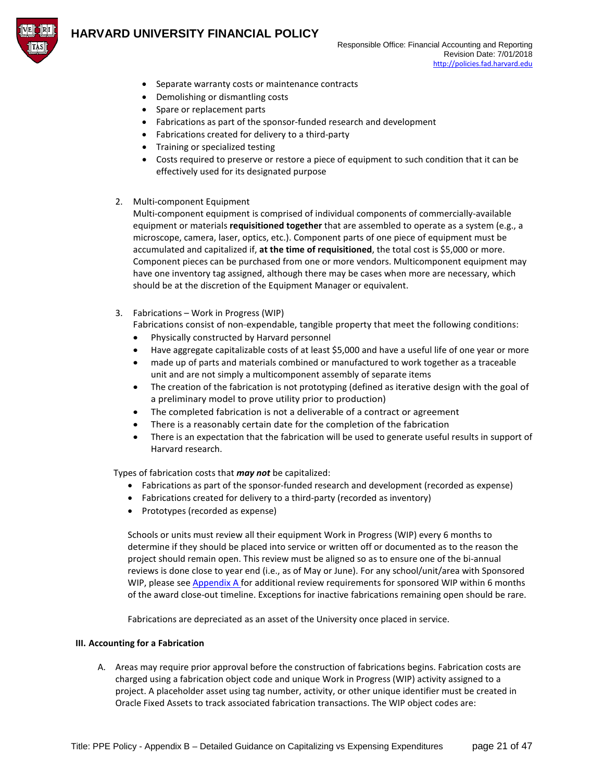

- Separate warranty costs or maintenance contracts
- Demolishing or dismantling costs
- Spare or replacement parts
- Fabrications as part of the sponsor-funded research and development
- Fabrications created for delivery to a third-party
- Training or specialized testing
- Costs required to preserve or restore a piece of equipment to such condition that it can be effectively used for its designated purpose
- 2. Multi-component Equipment

Multi-component equipment is comprised of individual components of commercially-available equipment or materials **requisitioned together** that are assembled to operate as a system (e.g., a microscope, camera, laser, optics, etc.). Component parts of one piece of equipment must be accumulated and capitalized if, **at the time of requisitioned**, the total cost is \$5,000 or more. Component pieces can be purchased from one or more vendors. Multicomponent equipment may have one inventory tag assigned, although there may be cases when more are necessary, which should be at the discretion of the Equipment Manager or equivalent.

- 3. Fabrications Work in Progress (WIP)
	- Fabrications consist of non-expendable, tangible property that meet the following conditions:
	- Physically constructed by Harvard personnel
	- Have aggregate capitalizable costs of at least \$5,000 and have a useful life of one year or more
	- made up of parts and materials combined or manufactured to work together as a traceable unit and are not simply a multicomponent assembly of separate items
	- The creation of the fabrication is not prototyping (defined as iterative design with the goal of a preliminary model to prove utility prior to production)
	- The completed fabrication is not a deliverable of a contract or agreement
	- There is a reasonably certain date for the completion of the fabrication
	- There is an expectation that the fabrication will be used to generate useful results in support of Harvard research.

Types of fabrication costs that *may not* be capitalized:

- Fabrications as part of the sponsor-funded research and development (recorded as expense)
- Fabrications created for delivery to a third-party (recorded as inventory)
- Prototypes (recorded as expense)

Schools or units must review all their equipment Work in Progress (WIP) every 6 months to determine if they should be placed into service or written off or documented as to the reason the project should remain open. This review must be aligned so as to ensure one of the bi-annual reviews is done close to year end (i.e., as of May or June). For any school/unit/area with Sponsored WIP, please se[e Appendix A f](#page-9-0)or additional review requirements for sponsored WIP within 6 months of the award close-out timeline. Exceptions for inactive fabrications remaining open should be rare.

Fabrications are depreciated as an asset of the University once placed in service.

### **III. Accounting for a Fabrication**

A. Areas may require prior approval before the construction of fabrications begins. Fabrication costs are charged using a fabrication object code and unique Work in Progress (WIP) activity assigned to a project. A placeholder asset using tag number, activity, or other unique identifier must be created in Oracle Fixed Assets to track associated fabrication transactions. The WIP object codes are: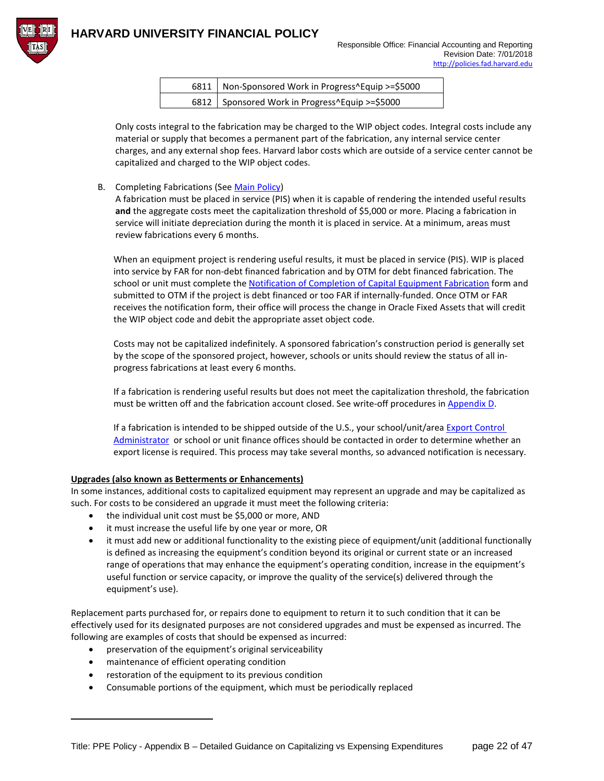

| 6811   Non-Sponsored Work in Progress^Equip >=\$5000 |
|------------------------------------------------------|
| 6812   Sponsored Work in Progress^Equip >=\$5000     |

Only costs integral to the fabrication may be charged to the WIP object codes. Integral costs include any material or supply that becomes a permanent part of the fabrication, any internal service center charges, and any external shop fees. Harvard labor costs which are outside of a service center cannot be capitalized and charged to the WIP object codes.

B. Completing Fabrications (Se[e Main Policy\)](#page-0-1)

A fabrication must be placed in service (PIS) when it is capable of rendering the intended useful results **and** the aggregate costs meet the capitalization threshold of \$5,000 or more. Placing a fabrication in service will initiate depreciation during the month it is placed in service. At a minimum, areas must review fabrications every 6 months.

When an equipment project is rendering useful results, it must be placed in service (PIS). WIP is placed into service by FAR for non-debt financed fabrication and by OTM for debt financed fabrication. The school or unit must complete th[e Notification of Completion of Capital Equipment Fabrication](https://oc.finance.harvard.edu/resources/forms-and-templates) form and submitted to OTM if the project is debt financed or too FAR if internally-funded. Once OTM or FAR receives the notification form, their office will process the change in Oracle Fixed Assets that will credit the WIP object code and debit the appropriate asset object code.

Costs may not be capitalized indefinitely. A sponsored fabrication's construction period is generally set by the scope of the sponsored project, however, schools or units should review the status of all inprogress fabrications at least every 6 months.

If a fabrication is rendering useful results but does not meet the capitalization threshold, the fabrication must be written off and the fabrication account closed. See write-off procedures in [Appendix D.](#page-31-0)

If a fabrication is intended to be shipped outside of the U.S., your school/unit/area Export Control [Administrator](https://vpr.harvard.edu/pages/export-controls-policies-and-procedures) or school or unit finance offices should be contacted in order to determine whether an export license is required. This process may take several months, so advanced notification is necessary.

### **Upgrades (also known as Betterments or Enhancements)**

In some instances, additional costs to capitalized equipment may represent an upgrade and may be capitalized as such. For costs to be considered an upgrade it must meet the following criteria:

- the individual unit cost must be \$5,000 or more, AND
- it must increase the useful life by one year or more, OR
- it must add new or additional functionality to the existing piece of equipment/unit (additional functionally is defined as increasing the equipment's condition beyond its original or current state or an increased range of operations that may enhance the equipment's operating condition, increase in the equipment's useful function or service capacity, or improve the quality of the service(s) delivered through the equipment's use).

Replacement parts purchased for, or repairs done to equipment to return it to such condition that it can be effectively used for its designated purposes are not considered upgrades and must be expensed as incurred. The following are examples of costs that should be expensed as incurred:

- preservation of the equipment's original serviceability
- maintenance of efficient operating condition
- restoration of the equipment to its previous condition
- Consumable portions of the equipment, which must be periodically replaced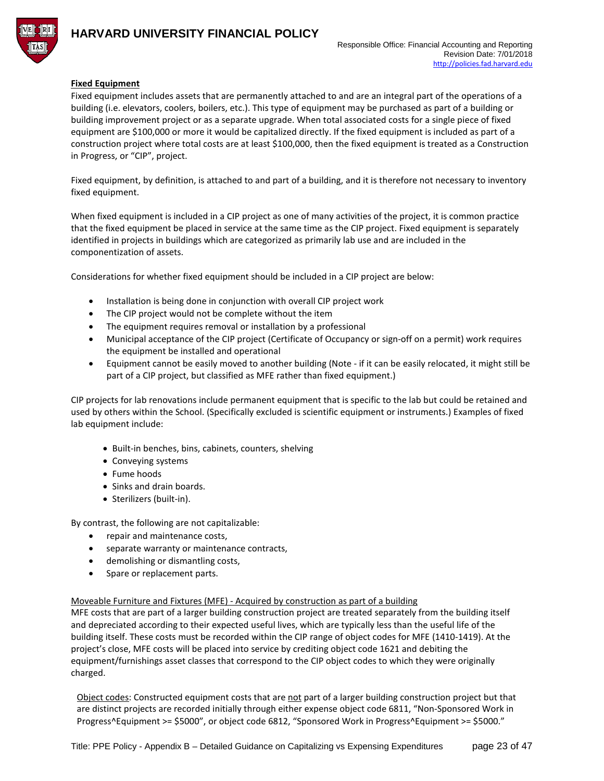

### **Fixed Equipment**

Fixed equipment includes assets that are permanently attached to and are an integral part of the operations of a building (i.e. elevators, coolers, boilers, etc.). This type of equipment may be purchased as part of a building or building improvement project or as a separate upgrade. When total associated costs for a single piece of fixed equipment are \$100,000 or more it would be capitalized directly. If the fixed equipment is included as part of a construction project where total costs are at least \$100,000, then the fixed equipment is treated as a Construction in Progress, or "CIP", project.

Fixed equipment, by definition, is attached to and part of a building, and it is therefore not necessary to inventory fixed equipment.

When fixed equipment is included in a CIP project as one of many activities of the project, it is common practice that the fixed equipment be placed in service at the same time as the CIP project. Fixed equipment is separately identified in projects in buildings which are categorized as primarily lab use and are included in the componentization of assets.

Considerations for whether fixed equipment should be included in a CIP project are below:

- Installation is being done in conjunction with overall CIP project work
- The CIP project would not be complete without the item
- The equipment requires removal or installation by a professional
- Municipal acceptance of the CIP project (Certificate of Occupancy or sign-off on a permit) work requires the equipment be installed and operational
- Equipment cannot be easily moved to another building (Note if it can be easily relocated, it might still be part of a CIP project, but classified as MFE rather than fixed equipment.)

CIP projects for lab renovations include permanent equipment that is specific to the lab but could be retained and used by others within the School. (Specifically excluded is scientific equipment or instruments.) Examples of fixed lab equipment include:

- Built-in benches, bins, cabinets, counters, shelving
- Conveying systems
- Fume hoods
- Sinks and drain boards.
- Sterilizers (built-in).

By contrast, the following are not capitalizable:

- repair and maintenance costs,
- separate warranty or maintenance contracts,
- demolishing or dismantling costs,
- Spare or replacement parts.

### Moveable Furniture and Fixtures (MFE) - Acquired by construction as part of a building

MFE costs that are part of a larger building construction project are treated separately from the building itself and depreciated according to their expected useful lives, which are typically less than the useful life of the building itself. These costs must be recorded within the CIP range of object codes for MFE (1410-1419). At the project's close, MFE costs will be placed into service by crediting object code 1621 and debiting the equipment/furnishings asset classes that correspond to the CIP object codes to which they were originally charged.

Object codes: Constructed equipment costs that are not part of a larger building construction project but that are distinct projects are recorded initially through either expense object code 6811, "Non-Sponsored Work in Progress^Equipment >= \$5000", or object code 6812, "Sponsored Work in Progress^Equipment >= \$5000."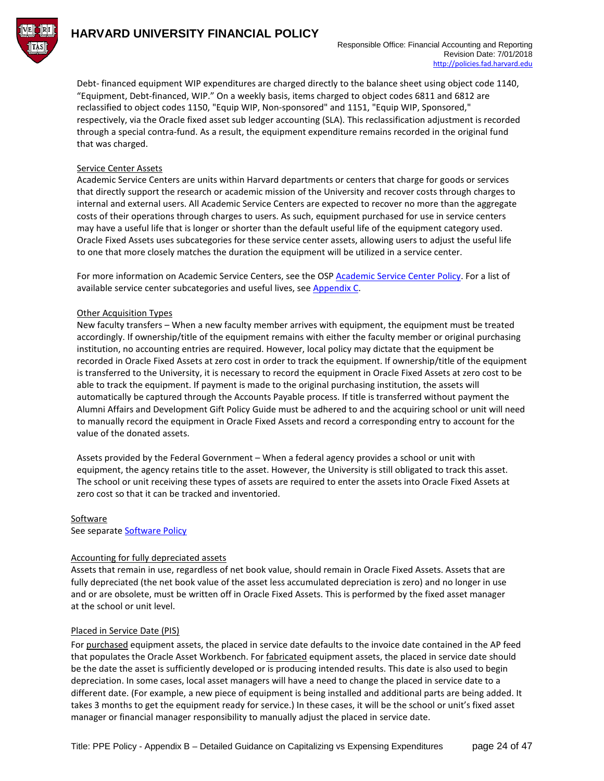

Debt- financed equipment WIP expenditures are charged directly to the balance sheet using object code 1140, "Equipment, Debt-financed, WIP." On a weekly basis, items charged to object codes 6811 and 6812 are reclassified to object codes 1150, "Equip WIP, Non-sponsored" and 1151, "Equip WIP, Sponsored," respectively, via the Oracle fixed asset sub ledger accounting (SLA). This reclassification adjustment is recorded through a special contra-fund. As a result, the equipment expenditure remains recorded in the original fund that was charged.

### Service Center Assets

Academic Service Centers are units within Harvard departments or centers that charge for goods or services that directly support the research or academic mission of the University and recover costs through charges to internal and external users. All Academic Service Centers are expected to recover no more than the aggregate costs of their operations through charges to users. As such, equipment purchased for use in service centers may have a useful life that is longer or shorter than the default useful life of the equipment category used. Oracle Fixed Assets uses subcategories for these service center assets, allowing users to adjust the useful life to one that more closely matches the duration the equipment will be utilized in a service center.

For more information on Academic Service Centers, see the OS[P Academic Service Center Policy.](https://osp.finance.harvard.edu/service-centers) For a list of available service center subcategories and useful lives, se[e Appendix C.](#page-29-0)

### Other Acquisition Types

New faculty transfers – When a new faculty member arrives with equipment, the equipment must be treated accordingly. If ownership/title of the equipment remains with either the faculty member or original purchasing institution, no accounting entries are required. However, local policy may dictate that the equipment be recorded in Oracle Fixed Assets at zero cost in order to track the equipment. If ownership/title of the equipment is transferred to the University, it is necessary to record the equipment in Oracle Fixed Assets at zero cost to be able to track the equipment. If payment is made to the original purchasing institution, the assets will automatically be captured through the Accounts Payable process. If title is transferred without payment the Alumni Affairs and Development Gift Policy Guide must be adhered to and the acquiring school or unit will need to manually record the equipment in Oracle Fixed Assets and record a corresponding entry to account for the value of the donated assets.

Assets provided by the Federal Government – When a federal agency provides a school or unit with equipment, the agency retains title to the asset. However, the University is still obligated to track this asset. The school or unit receiving these types of assets are required to enter the assets into Oracle Fixed Assets at zero cost so that it can be tracked and inventoried.

### Software

See separate [Software Policy](https://policies.fad.harvard.edu/accounting-internally-developed-software)

### Accounting for fully depreciated assets

Assets that remain in use, regardless of net book value, should remain in Oracle Fixed Assets. Assets that are fully depreciated (the net book value of the asset less accumulated depreciation is zero) and no longer in use and or are obsolete, must be written off in Oracle Fixed Assets. This is performed by the fixed asset manager at the school or unit level.

### Placed in Service Date (PIS)

For purchased equipment assets, the placed in service date defaults to the invoice date contained in the AP feed that populates the Oracle Asset Workbench. For fabricated equipment assets, the placed in service date should be the date the asset is sufficiently developed or is producing intended results. This date is also used to begin depreciation. In some cases, local asset managers will have a need to change the placed in service date to a different date. (For example, a new piece of equipment is being installed and additional parts are being added. It takes 3 months to get the equipment ready for service.) In these cases, it will be the school or unit's fixed asset manager or financial manager responsibility to manually adjust the placed in service date.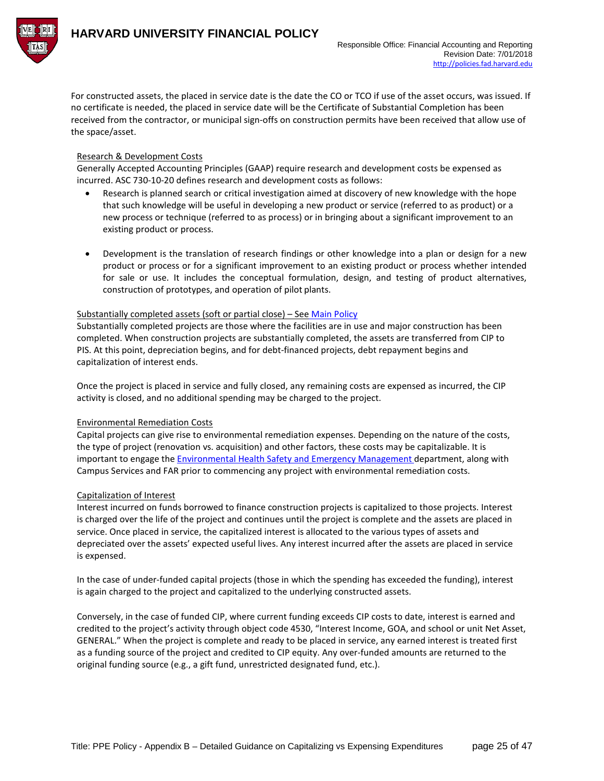

For constructed assets, the placed in service date is the date the CO or TCO if use of the asset occurs, was issued. If no certificate is needed, the placed in service date will be the Certificate of Substantial Completion has been received from the contractor, or municipal sign-offs on construction permits have been received that allow use of the space/asset.

### Research & Development Costs

Generally Accepted Accounting Principles (GAAP) require research and development costs be expensed as incurred. ASC 730-10-20 defines research and development costs as follows:

- Research is planned search or critical investigation aimed at discovery of new knowledge with the hope that such knowledge will be useful in developing a new product or service (referred to as product) or a new process or technique (referred to as process) or in bringing about a significant improvement to an existing product or process.
- Development is the translation of research findings or other knowledge into a plan or design for a new product or process or for a significant improvement to an existing product or process whether intended for sale or use. It includes the conceptual formulation, design, and testing of product alternatives, construction of prototypes, and operation of pilot plants.

### Substantially completed assets (soft or partial close) – See [Main Policy](#page-0-1)

Substantially completed projects are those where the facilities are in use and major construction has been completed. When construction projects are substantially completed, the assets are transferred from CIP to PIS. At this point, depreciation begins, and for debt-financed projects, debt repayment begins and capitalization of interest ends.

Once the project is placed in service and fully closed, any remaining costs are expensed as incurred, the CIP activity is closed, and no additional spending may be charged to the project.

### Environmental Remediation Costs

Capital projects can give rise to environmental remediation expenses. Depending on the nature of the costs, the type of project (renovation vs. acquisition) and other factors, these costs may be capitalizable. It is important to engage the **Environmental Health Safety and Emergency Management** department, along with Campus Services and FAR prior to commencing any project with environmental remediation costs.

### Capitalization of Interest

Interest incurred on funds borrowed to finance construction projects is capitalized to those projects. Interest is charged over the life of the project and continues until the project is complete and the assets are placed in service. Once placed in service, the capitalized interest is allocated to the various types of assets and depreciated over the assets' expected useful lives. Any interest incurred after the assets are placed in service is expensed.

In the case of under-funded capital projects (those in which the spending has exceeded the funding), interest is again charged to the project and capitalized to the underlying constructed assets.

<span id="page-24-0"></span>Conversely, in the case of funded CIP, where current funding exceeds CIP costs to date, interest is earned and credited to the project's activity through object code 4530, "Interest Income, GOA, and school or unit Net Asset, GENERAL." When the project is complete and ready to be placed in service, any earned interest is treated first as a funding source of the project and credited to CIP equity. Any over-funded amounts are returned to the original funding source (e.g., a gift fund, unrestricted designated fund, etc.).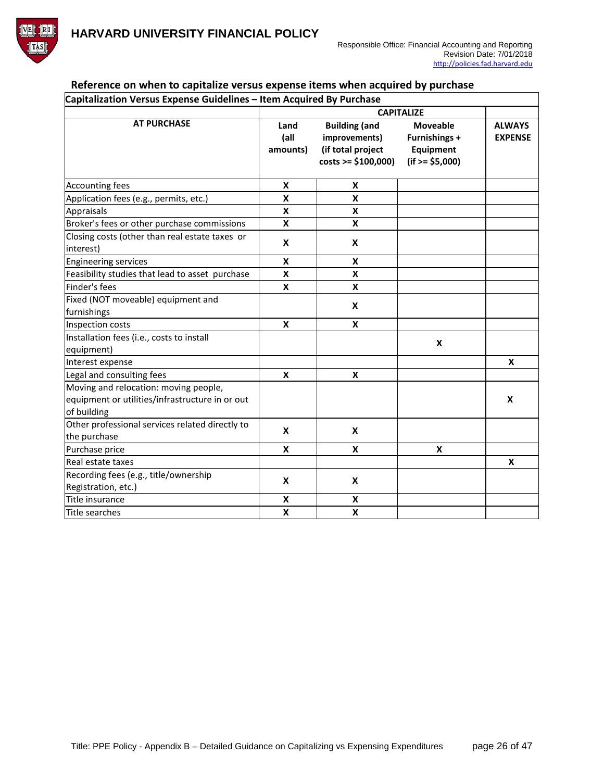

٦

### <span id="page-25-0"></span>**Reference on when to capitalize versus expense items when acquired by purchase Capitalization Versus Expense Guidelines – Item Acquired By Purchase**

| Capitalization versus expense Guidennes – Item Acquired by Purchase                                     | <b>CAPITALIZE</b>         |                                                                                    |                                                                    |                                 |  |  |
|---------------------------------------------------------------------------------------------------------|---------------------------|------------------------------------------------------------------------------------|--------------------------------------------------------------------|---------------------------------|--|--|
| <b>AT PURCHASE</b>                                                                                      | Land<br>(all<br>amounts)  | <b>Building (and</b><br>improvements)<br>(if total project<br>$costs > = $100,000$ | <b>Moveable</b><br>Furnishings +<br>Equipment<br>$(if > = $5,000)$ | <b>ALWAYS</b><br><b>EXPENSE</b> |  |  |
| <b>Accounting fees</b>                                                                                  | X                         | X                                                                                  |                                                                    |                                 |  |  |
| Application fees (e.g., permits, etc.)                                                                  | X                         | X                                                                                  |                                                                    |                                 |  |  |
| Appraisals                                                                                              | X                         | X                                                                                  |                                                                    |                                 |  |  |
| Broker's fees or other purchase commissions                                                             | $\boldsymbol{\mathsf{x}}$ | X                                                                                  |                                                                    |                                 |  |  |
| Closing costs (other than real estate taxes or<br>interest)                                             | X                         | X                                                                                  |                                                                    |                                 |  |  |
| <b>Engineering services</b>                                                                             | X                         | X                                                                                  |                                                                    |                                 |  |  |
| Feasibility studies that lead to asset purchase                                                         | X                         | X                                                                                  |                                                                    |                                 |  |  |
| Finder's fees                                                                                           | X                         | X                                                                                  |                                                                    |                                 |  |  |
| Fixed (NOT moveable) equipment and<br>furnishings                                                       |                           | X                                                                                  |                                                                    |                                 |  |  |
| Inspection costs                                                                                        | $\mathbf{x}$              | X                                                                                  |                                                                    |                                 |  |  |
| Installation fees (i.e., costs to install<br>equipment)                                                 |                           |                                                                                    | X                                                                  |                                 |  |  |
| Interest expense                                                                                        |                           |                                                                                    |                                                                    | $\mathbf x$                     |  |  |
| Legal and consulting fees                                                                               | $\mathbf{x}$              | X                                                                                  |                                                                    |                                 |  |  |
| Moving and relocation: moving people,<br>equipment or utilities/infrastructure in or out<br>of building |                           |                                                                                    |                                                                    | X                               |  |  |
| Other professional services related directly to<br>the purchase                                         | X                         | X                                                                                  |                                                                    |                                 |  |  |
| Purchase price                                                                                          | X                         | X                                                                                  | X                                                                  |                                 |  |  |
| Real estate taxes                                                                                       |                           |                                                                                    |                                                                    | $\boldsymbol{x}$                |  |  |
| Recording fees (e.g., title/ownership<br>Registration, etc.)                                            | X                         | X                                                                                  |                                                                    |                                 |  |  |
| Title insurance                                                                                         | X                         | X                                                                                  |                                                                    |                                 |  |  |
| <b>Title searches</b>                                                                                   | X                         | X                                                                                  |                                                                    |                                 |  |  |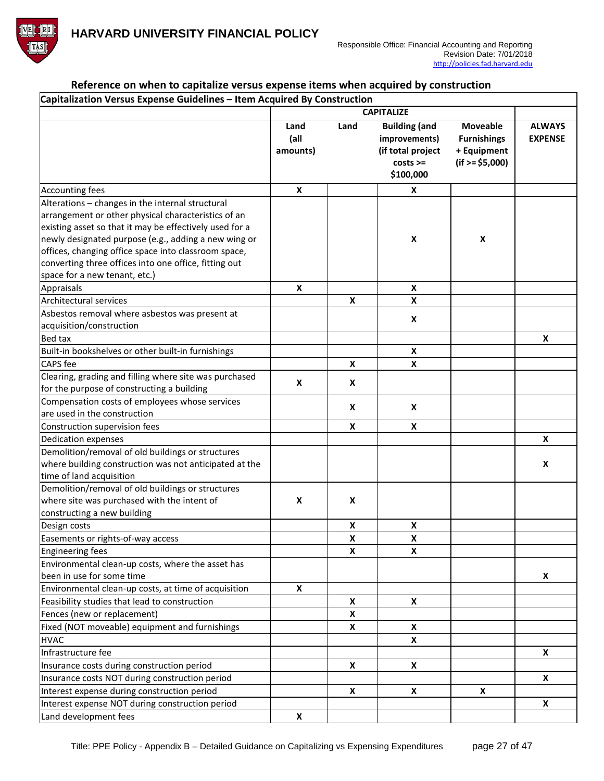TAS



### **Reference on when to capitalize versus expense items when acquired by construction**

|                                                                                                                                                                                                                                                                                                                                                                              |                          |                    | <b>CAPITALIZE</b>                                                                       |                                                                           |                                 |
|------------------------------------------------------------------------------------------------------------------------------------------------------------------------------------------------------------------------------------------------------------------------------------------------------------------------------------------------------------------------------|--------------------------|--------------------|-----------------------------------------------------------------------------------------|---------------------------------------------------------------------------|---------------------------------|
|                                                                                                                                                                                                                                                                                                                                                                              | Land<br>(all<br>amounts) | Land               | <b>Building (and</b><br>improvements)<br>(if total project<br>$costs \geq$<br>\$100,000 | <b>Moveable</b><br><b>Furnishings</b><br>+ Equipment<br>$(if > = $5,000)$ | <b>ALWAYS</b><br><b>EXPENSE</b> |
| <b>Accounting fees</b>                                                                                                                                                                                                                                                                                                                                                       | X                        |                    | X                                                                                       |                                                                           |                                 |
| Alterations - changes in the internal structural<br>arrangement or other physical characteristics of an<br>existing asset so that it may be effectively used for a<br>newly designated purpose (e.g., adding a new wing or<br>offices, changing office space into classroom space,<br>converting three offices into one office, fitting out<br>space for a new tenant, etc.) |                          |                    | $\pmb{\mathsf{X}}$                                                                      | X                                                                         |                                 |
| Appraisals                                                                                                                                                                                                                                                                                                                                                                   | X                        |                    | X                                                                                       |                                                                           |                                 |
| Architectural services                                                                                                                                                                                                                                                                                                                                                       |                          | X                  | X                                                                                       |                                                                           |                                 |
| Asbestos removal where asbestos was present at<br>acquisition/construction                                                                                                                                                                                                                                                                                                   |                          |                    | X                                                                                       |                                                                           |                                 |
| Bed tax                                                                                                                                                                                                                                                                                                                                                                      |                          |                    |                                                                                         |                                                                           | X                               |
| Built-in bookshelves or other built-in furnishings                                                                                                                                                                                                                                                                                                                           |                          |                    | X                                                                                       |                                                                           |                                 |
| <b>CAPS</b> fee                                                                                                                                                                                                                                                                                                                                                              |                          | X                  | X                                                                                       |                                                                           |                                 |
| Clearing, grading and filling where site was purchased<br>for the purpose of constructing a building                                                                                                                                                                                                                                                                         | X                        | X                  |                                                                                         |                                                                           |                                 |
| Compensation costs of employees whose services<br>are used in the construction                                                                                                                                                                                                                                                                                               |                          | X                  | X                                                                                       |                                                                           |                                 |
| Construction supervision fees                                                                                                                                                                                                                                                                                                                                                |                          | X                  | X                                                                                       |                                                                           |                                 |
| <b>Dedication expenses</b>                                                                                                                                                                                                                                                                                                                                                   |                          |                    |                                                                                         |                                                                           | X                               |
| Demolition/removal of old buildings or structures<br>where building construction was not anticipated at the<br>time of land acquisition                                                                                                                                                                                                                                      |                          |                    |                                                                                         |                                                                           | X                               |
| Demolition/removal of old buildings or structures<br>where site was purchased with the intent of<br>constructing a new building                                                                                                                                                                                                                                              | X                        | X                  |                                                                                         |                                                                           |                                 |
| Design costs                                                                                                                                                                                                                                                                                                                                                                 |                          | X                  | X                                                                                       |                                                                           |                                 |
| Easements or rights-of-way access                                                                                                                                                                                                                                                                                                                                            |                          | X                  | $\pmb{\mathsf{X}}$                                                                      |                                                                           |                                 |
| <b>Engineering fees</b>                                                                                                                                                                                                                                                                                                                                                      |                          | $\pmb{\times}$     | X                                                                                       |                                                                           |                                 |
| Environmental clean-up costs, where the asset has<br>been in use for some time                                                                                                                                                                                                                                                                                               |                          |                    |                                                                                         |                                                                           | X                               |
| Environmental clean-up costs, at time of acquisition                                                                                                                                                                                                                                                                                                                         | X                        |                    |                                                                                         |                                                                           |                                 |
| Feasibility studies that lead to construction                                                                                                                                                                                                                                                                                                                                |                          | $\pmb{\mathsf{X}}$ | X                                                                                       |                                                                           |                                 |
| Fences (new or replacement)                                                                                                                                                                                                                                                                                                                                                  |                          | X                  |                                                                                         |                                                                           |                                 |
| Fixed (NOT moveable) equipment and furnishings                                                                                                                                                                                                                                                                                                                               |                          | X                  | X                                                                                       |                                                                           |                                 |
| <b>HVAC</b>                                                                                                                                                                                                                                                                                                                                                                  |                          |                    | X                                                                                       |                                                                           |                                 |
| Infrastructure fee                                                                                                                                                                                                                                                                                                                                                           |                          |                    |                                                                                         |                                                                           | X                               |
| Insurance costs during construction period                                                                                                                                                                                                                                                                                                                                   |                          | X                  | $\pmb{\mathsf{X}}$                                                                      |                                                                           |                                 |
| Insurance costs NOT during construction period                                                                                                                                                                                                                                                                                                                               |                          |                    |                                                                                         |                                                                           | X                               |
| Interest expense during construction period                                                                                                                                                                                                                                                                                                                                  |                          | X                  | X                                                                                       | X                                                                         |                                 |
| Interest expense NOT during construction period                                                                                                                                                                                                                                                                                                                              |                          |                    |                                                                                         |                                                                           | X                               |
| Land development fees                                                                                                                                                                                                                                                                                                                                                        | $\pmb{\mathsf{X}}$       |                    |                                                                                         |                                                                           |                                 |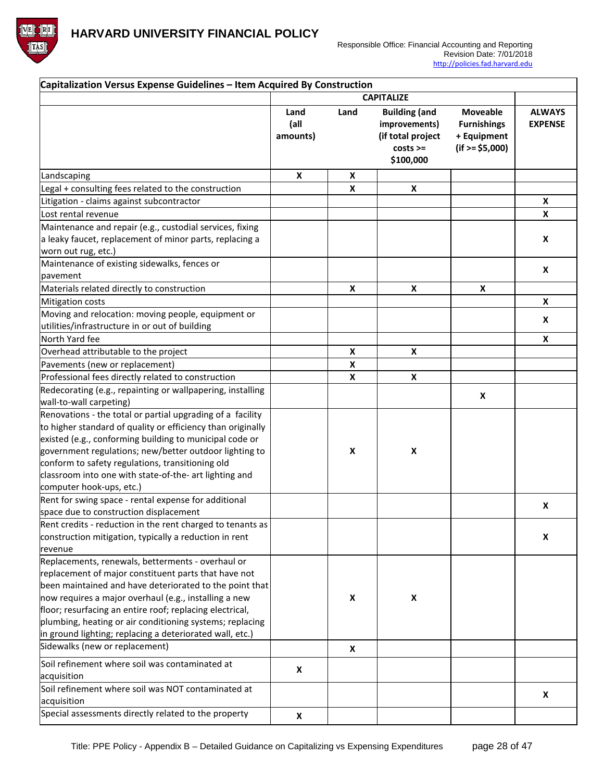

|                                                             |                          |                    | <b>CAPITALIZE</b>                                                                       |                                                                           |                                 |
|-------------------------------------------------------------|--------------------------|--------------------|-----------------------------------------------------------------------------------------|---------------------------------------------------------------------------|---------------------------------|
|                                                             | Land<br>(all<br>amounts) | Land               | <b>Building (and</b><br>improvements)<br>(if total project<br>$costs \geq$<br>\$100,000 | <b>Moveable</b><br><b>Furnishings</b><br>+ Equipment<br>$(if > = $5,000)$ | <b>ALWAYS</b><br><b>EXPENSE</b> |
| Landscaping                                                 | $\boldsymbol{x}$         | $\pmb{\mathsf{x}}$ |                                                                                         |                                                                           |                                 |
| Legal + consulting fees related to the construction         |                          | $\pmb{\mathsf{X}}$ | X                                                                                       |                                                                           |                                 |
| Litigation - claims against subcontractor                   |                          |                    |                                                                                         |                                                                           | X                               |
| Lost rental revenue                                         |                          |                    |                                                                                         |                                                                           | X                               |
| Maintenance and repair (e.g., custodial services, fixing    |                          |                    |                                                                                         |                                                                           |                                 |
| a leaky faucet, replacement of minor parts, replacing a     |                          |                    |                                                                                         |                                                                           | X                               |
| worn out rug, etc.)                                         |                          |                    |                                                                                         |                                                                           |                                 |
| Maintenance of existing sidewalks, fences or                |                          |                    |                                                                                         |                                                                           |                                 |
| pavement                                                    |                          |                    |                                                                                         |                                                                           | X                               |
| Materials related directly to construction                  |                          | X                  | X                                                                                       | X                                                                         |                                 |
| Mitigation costs                                            |                          |                    |                                                                                         |                                                                           | X                               |
| Moving and relocation: moving people, equipment or          |                          |                    |                                                                                         |                                                                           |                                 |
| utilities/infrastructure in or out of building              |                          |                    |                                                                                         |                                                                           | X                               |
| North Yard fee                                              |                          |                    |                                                                                         |                                                                           | X                               |
| Overhead attributable to the project                        |                          | X                  | X                                                                                       |                                                                           |                                 |
| Pavements (new or replacement)                              |                          | $\pmb{\mathsf{X}}$ |                                                                                         |                                                                           |                                 |
| Professional fees directly related to construction          |                          | X                  | X                                                                                       |                                                                           |                                 |
| Redecorating (e.g., repainting or wallpapering, installing  |                          |                    |                                                                                         |                                                                           |                                 |
| wall-to-wall carpeting)                                     |                          |                    |                                                                                         | X                                                                         |                                 |
| Renovations - the total or partial upgrading of a facility  |                          |                    |                                                                                         |                                                                           |                                 |
| to higher standard of quality or efficiency than originally |                          |                    |                                                                                         |                                                                           |                                 |
| existed (e.g., conforming building to municipal code or     |                          |                    |                                                                                         |                                                                           |                                 |
| government regulations; new/better outdoor lighting to      |                          | X                  | X                                                                                       |                                                                           |                                 |
| conform to safety regulations, transitioning old            |                          |                    |                                                                                         |                                                                           |                                 |
| classroom into one with state-of-the- art lighting and      |                          |                    |                                                                                         |                                                                           |                                 |
| computer hook-ups, etc.)                                    |                          |                    |                                                                                         |                                                                           |                                 |
| Rent for swing space - rental expense for additional        |                          |                    |                                                                                         |                                                                           |                                 |
| space due to construction displacement                      |                          |                    |                                                                                         |                                                                           | X                               |
| Rent credits - reduction in the rent charged to tenants as  |                          |                    |                                                                                         |                                                                           |                                 |
| construction mitigation, typically a reduction in rent      |                          |                    |                                                                                         |                                                                           | X                               |
| revenue                                                     |                          |                    |                                                                                         |                                                                           |                                 |
| Replacements, renewals, betterments - overhaul or           |                          |                    |                                                                                         |                                                                           |                                 |
| replacement of major constituent parts that have not        |                          |                    |                                                                                         |                                                                           |                                 |
| been maintained and have deteriorated to the point that     |                          |                    |                                                                                         |                                                                           |                                 |
| now requires a major overhaul (e.g., installing a new       |                          | X                  | X                                                                                       |                                                                           |                                 |
| floor; resurfacing an entire roof; replacing electrical,    |                          |                    |                                                                                         |                                                                           |                                 |
| plumbing, heating or air conditioning systems; replacing    |                          |                    |                                                                                         |                                                                           |                                 |
| in ground lighting; replacing a deteriorated wall, etc.)    |                          |                    |                                                                                         |                                                                           |                                 |
| Sidewalks (new or replacement)                              |                          | X                  |                                                                                         |                                                                           |                                 |
|                                                             |                          |                    |                                                                                         |                                                                           |                                 |
| Soil refinement where soil was contaminated at              | X                        |                    |                                                                                         |                                                                           |                                 |
| acquisition                                                 |                          |                    |                                                                                         |                                                                           |                                 |
| Soil refinement where soil was NOT contaminated at          |                          |                    |                                                                                         |                                                                           | X                               |
| acquisition                                                 |                          |                    |                                                                                         |                                                                           |                                 |
| Special assessments directly related to the property        | X                        |                    |                                                                                         |                                                                           |                                 |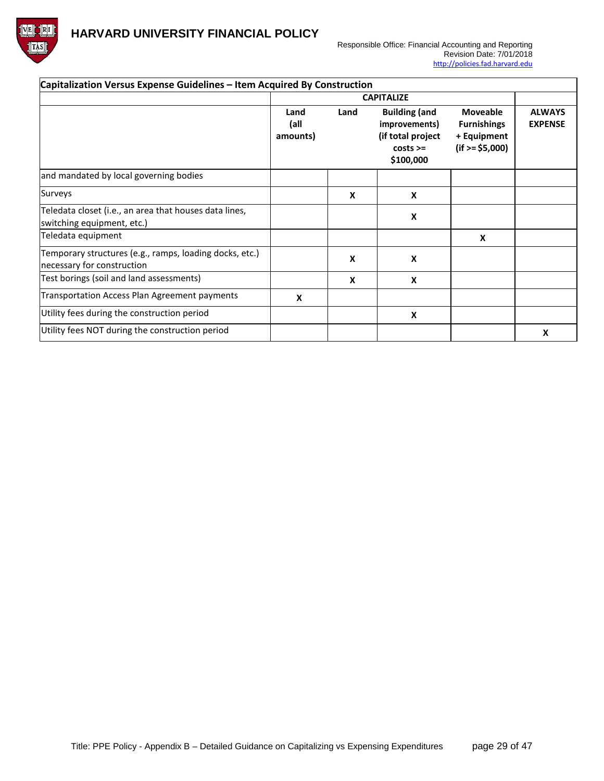

|                                                                                       |                          |      | <b>CAPITALIZE</b>                                                                       |                                                                           |                                 |
|---------------------------------------------------------------------------------------|--------------------------|------|-----------------------------------------------------------------------------------------|---------------------------------------------------------------------------|---------------------------------|
|                                                                                       | Land<br>(all<br>amounts) | Land | <b>Building (and</b><br>improvements)<br>(if total project<br>$costs \geq$<br>\$100,000 | <b>Moveable</b><br><b>Furnishings</b><br>+ Equipment<br>$(if > = $5,000)$ | <b>ALWAYS</b><br><b>EXPENSE</b> |
| and mandated by local governing bodies                                                |                          |      |                                                                                         |                                                                           |                                 |
| <b>Surveys</b>                                                                        |                          | X    | X                                                                                       |                                                                           |                                 |
| Teledata closet (i.e., an area that houses data lines,<br>switching equipment, etc.)  |                          |      | X                                                                                       |                                                                           |                                 |
| Teledata equipment                                                                    |                          |      |                                                                                         | X                                                                         |                                 |
| Temporary structures (e.g., ramps, loading docks, etc.)<br>necessary for construction |                          | X    | X                                                                                       |                                                                           |                                 |
| Test borings (soil and land assessments)                                              |                          | X    | X                                                                                       |                                                                           |                                 |
| Transportation Access Plan Agreement payments                                         | $\boldsymbol{x}$         |      |                                                                                         |                                                                           |                                 |
| Utility fees during the construction period                                           |                          |      | X                                                                                       |                                                                           |                                 |
| Utility fees NOT during the construction period                                       |                          |      |                                                                                         |                                                                           | X                               |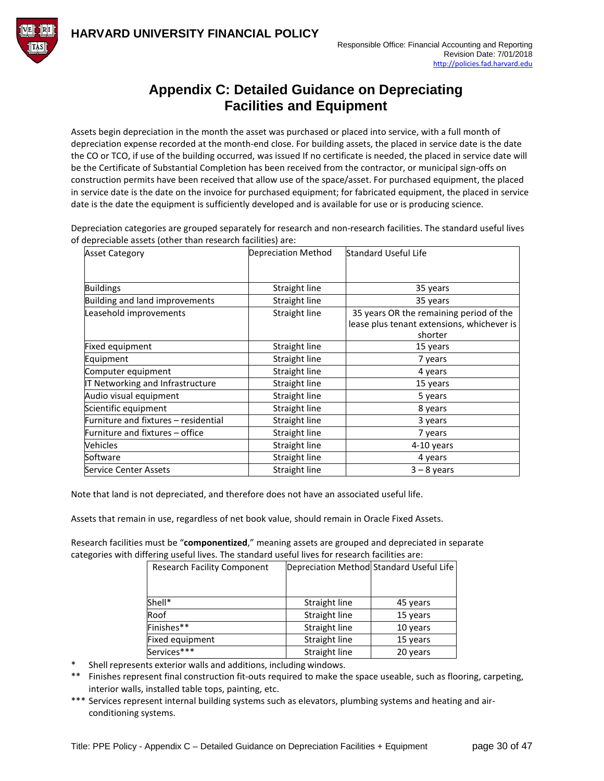

## **Appendix C: Detailed Guidance on Depreciating Facilities and Equipment**

<span id="page-29-0"></span>Assets begin depreciation in the month the asset was purchased or placed into service, with a full month of depreciation expense recorded at the month-end close. For building assets, the placed in service date is the date the CO or TCO, if use of the building occurred, was issued If no certificate is needed, the placed in service date will be the Certificate of Substantial Completion has been received from the contractor, or municipal sign-offs on construction permits have been received that allow use of the space/asset. For purchased equipment, the placed in service date is the date on the invoice for purchased equipment; for fabricated equipment, the placed in service date is the date the equipment is sufficiently developed and is available for use or is producing science.

Depreciation categories are grouped separately for research and non-research facilities. The standard useful lives of depreciable assets (other than research facilities) are:

| <b>Asset Category</b>                | Depreciation Method | <b>Standard Useful Life</b>                           |
|--------------------------------------|---------------------|-------------------------------------------------------|
|                                      |                     |                                                       |
| <b>Buildings</b>                     | Straight line       | 35 years                                              |
| Building and land improvements       | Straight line       | 35 years                                              |
| Leasehold improvements               | Straight line       | 35 years OR the remaining period of the               |
|                                      |                     | lease plus tenant extensions, whichever is<br>shorter |
| Fixed equipment                      | Straight line       | 15 years                                              |
| Equipment                            | Straight line       | 7 years                                               |
| Computer equipment                   | Straight line       | 4 years                                               |
| IT Networking and Infrastructure     | Straight line       | 15 years                                              |
| Audio visual equipment               | Straight line       | 5 years                                               |
| Scientific equipment                 | Straight line       | 8 years                                               |
| Furniture and fixtures - residential | Straight line       | 3 years                                               |
| Furniture and fixtures - office      | Straight line       | 7 years                                               |
| Vehicles                             | Straight line       | 4-10 years                                            |
| Software                             | Straight line       | 4 years                                               |
| Service Center Assets                | Straight line       | $3 - 8$ years                                         |

Note that land is not depreciated, and therefore does not have an associated useful life.

Assets that remain in use, regardless of net book value, should remain in Oracle Fixed Assets.

Research facilities must be "**componentized**," meaning assets are grouped and depreciated in separate categories with differing useful lives. The standard useful lives for research facilities are:

| <b>Research Facility Component</b> | Depreciation Method Standard Useful Life |          |
|------------------------------------|------------------------------------------|----------|
|                                    |                                          |          |
|                                    |                                          |          |
| Shell*                             | Straight line                            | 45 years |
| Roof                               | Straight line                            | 15 years |
| Finishes**                         | Straight line                            | 10 years |
| Fixed equipment                    | Straight line                            | 15 years |
| Services***                        | Straight line                            | 20 years |

- Shell represents exterior walls and additions, including windows.
- \*\* Finishes represent final construction fit-outs required to make the space useable, such as flooring, carpeting, interior walls, installed table tops, painting, etc.
- \*\*\* Services represent internal building systems such as elevators, plumbing systems and heating and airconditioning systems.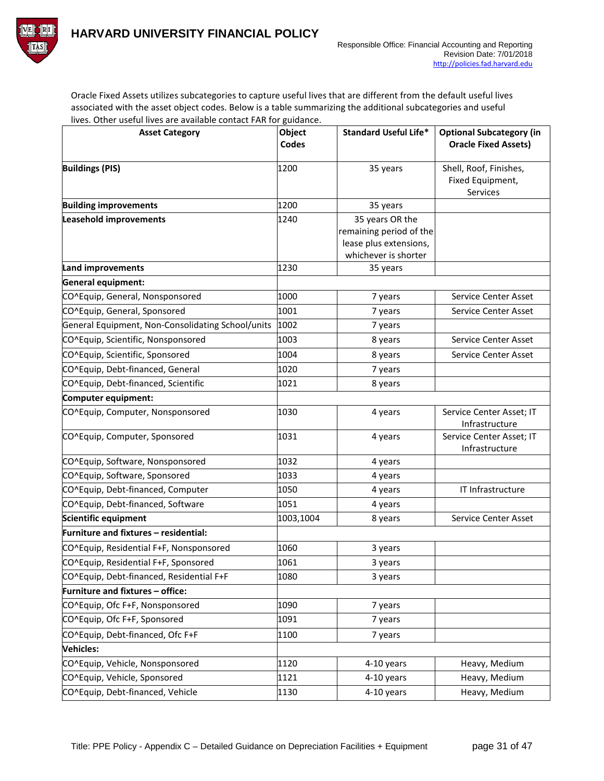TAS



Oracle Fixed Assets utilizes subcategories to capture useful lives that are different from the default useful lives associated with the asset object codes. Below is a table summarizing the additional subcategories and useful lives. Other useful lives are available contact FAR for guidance.

| <b>Asset Category</b>                             | Object<br><b>Codes</b> | <b>Standard Useful Life*</b>                                                                 | <b>Optional Subcategory (in</b><br><b>Oracle Fixed Assets)</b> |
|---------------------------------------------------|------------------------|----------------------------------------------------------------------------------------------|----------------------------------------------------------------|
| <b>Buildings (PIS)</b>                            | 1200                   | 35 years                                                                                     | Shell, Roof, Finishes,<br>Fixed Equipment,<br><b>Services</b>  |
| <b>Building improvements</b>                      | 1200                   | 35 years                                                                                     |                                                                |
| <b>Leasehold improvements</b>                     | 1240                   | 35 years OR the<br>remaining period of the<br>lease plus extensions,<br>whichever is shorter |                                                                |
| <b>Land improvements</b>                          | 1230                   | 35 years                                                                                     |                                                                |
| <b>General equipment:</b>                         |                        |                                                                                              |                                                                |
| CO^Equip, General, Nonsponsored                   | 1000                   | 7 years                                                                                      | Service Center Asset                                           |
| CO^Equip, General, Sponsored                      | 1001                   | 7 years                                                                                      | Service Center Asset                                           |
| General Equipment, Non-Consolidating School/units | 1002                   | 7 years                                                                                      |                                                                |
| CO^Equip, Scientific, Nonsponsored                | 1003                   | 8 years                                                                                      | Service Center Asset                                           |
| CO^Equip, Scientific, Sponsored                   | 1004                   | 8 years                                                                                      | <b>Service Center Asset</b>                                    |
| CO^Equip, Debt-financed, General                  | 1020                   | 7 years                                                                                      |                                                                |
| CO^Equip, Debt-financed, Scientific               | 1021                   | 8 years                                                                                      |                                                                |
| Computer equipment:                               |                        |                                                                                              |                                                                |
| CO^Equip, Computer, Nonsponsored                  | 1030                   | 4 years                                                                                      | Service Center Asset; IT<br>Infrastructure                     |
| CO^Equip, Computer, Sponsored                     | 1031                   | 4 years                                                                                      | Service Center Asset; IT<br>Infrastructure                     |
| CO^Equip, Software, Nonsponsored                  | 1032                   | 4 years                                                                                      |                                                                |
| CO^Equip, Software, Sponsored                     | 1033                   | 4 years                                                                                      |                                                                |
| CO^Equip, Debt-financed, Computer                 | 1050                   | 4 years                                                                                      | IT Infrastructure                                              |
| CO^Equip, Debt-financed, Software                 | 1051                   | 4 years                                                                                      |                                                                |
| Scientific equipment                              | 1003,1004              | 8 years                                                                                      | Service Center Asset                                           |
| Furniture and fixtures - residential:             |                        |                                                                                              |                                                                |
| CO^Equip, Residential F+F, Nonsponsored           | 1060                   | 3 years                                                                                      |                                                                |
| CO^Equip, Residential F+F, Sponsored              | 1061                   | 3 years                                                                                      |                                                                |
| CO^Equip, Debt-financed, Residential F+F          | 1080                   | 3 years                                                                                      |                                                                |
| Furniture and fixtures - office:                  |                        |                                                                                              |                                                                |
| CO^Equip, Ofc F+F, Nonsponsored                   | 1090                   | 7 years                                                                                      |                                                                |
| CO^Equip, Ofc F+F, Sponsored                      | 1091                   | 7 years                                                                                      |                                                                |
| CO^Equip, Debt-financed, Ofc F+F                  | 1100                   | 7 years                                                                                      |                                                                |
| <b>Vehicles:</b>                                  |                        |                                                                                              |                                                                |
| CO^Equip, Vehicle, Nonsponsored                   | 1120                   | 4-10 years                                                                                   | Heavy, Medium                                                  |
| CO^Equip, Vehicle, Sponsored                      | 1121                   | 4-10 years                                                                                   | Heavy, Medium                                                  |
| CO^Equip, Debt-financed, Vehicle                  | 1130                   | 4-10 years                                                                                   | Heavy, Medium                                                  |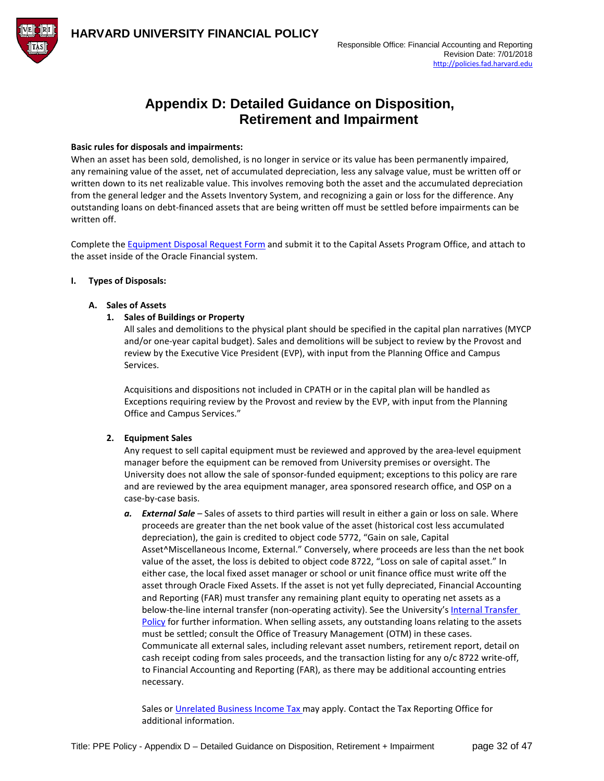

### **Appendix D: Detailed Guidance on Disposition, Retirement and Impairment**

### <span id="page-31-0"></span>**Basic rules for disposals and impairments:**

When an asset has been sold, demolished, is no longer in service or its value has been permanently impaired, any remaining value of the asset, net of accumulated depreciation, less any salvage value, must be written off or written down to its net realizable value. This involves removing both the asset and the accumulated depreciation from the general ledger and the Assets Inventory System, and recognizing a gain or loss for the difference. Any outstanding loans on debt-financed assets that are being written off must be settled before impairments can be written off.

Complete th[e Equipment Disposal Request Form](https://oc.finance.harvard.edu/resources/forms-and-templates) and submit it to the Capital Assets Program Office, and attach to the asset inside of the Oracle Financial system.

### **I. Types of Disposals:**

### **A. Sales of Assets**

### <span id="page-31-1"></span>**1. Sales of Buildings or Property**

All sales and demolitions to the physical plant should be specified in the capital plan narratives (MYCP and/or one-year capital budget). Sales and demolitions will be subject to review by the Provost and review by the Executive Vice President (EVP), with input from the Planning Office and Campus Services.

Acquisitions and dispositions not included in CPATH or in the capital plan will be handled as Exceptions requiring review by the Provost and review by the EVP, with input from the Planning Office and Campus Services."

### **2. Equipment Sales**

Any request to sell capital equipment must be reviewed and approved by the area-level equipment manager before the equipment can be removed from University premises or oversight. The University does not allow the sale of sponsor-funded equipment; exceptions to this policy are rare and are reviewed by the area equipment manager, area sponsored research office, and OSP on a case-by-case basis.

*a. External Sale* – Sales of assets to third parties will result in either a gain or loss on sale. Where proceeds are greater than the net book value of the asset (historical cost less accumulated depreciation), the gain is credited to object code 5772, "Gain on sale, Capital Asset^Miscellaneous Income, External." Conversely, where proceeds are less than the net book value of the asset, the loss is debited to object code 8722, "Loss on sale of capital asset." In either case, the local fixed asset manager or school or unit finance office must write off the asset through Oracle Fixed Assets. If the asset is not yet fully depreciated, Financial Accounting and Reporting (FAR) must transfer any remaining plant equity to operating net assets as a below-the-line internal transfer (non-operating activity). See the University's Internal Transfer [Policy](https://policies.fad.harvard.edu/pages/internal-transfers) for further information. When selling assets, any outstanding loans relating to the assets must be settled; consult the Office of Treasury Management (OTM) in these cases. Communicate all external sales, including relevant asset numbers, retirement report, detail on cash receipt coding from sales proceeds, and the transaction listing for any o/c 8722 write-off, to Financial Accounting and Reporting (FAR), as there may be additional accounting entries necessary.

Sales or [Unrelated Business Income Tax m](https://policies.fad.harvard.edu/pages/tax-compliance-external-revenue-generating-activities)ay apply. Contact the Tax Reporting Office for additional information.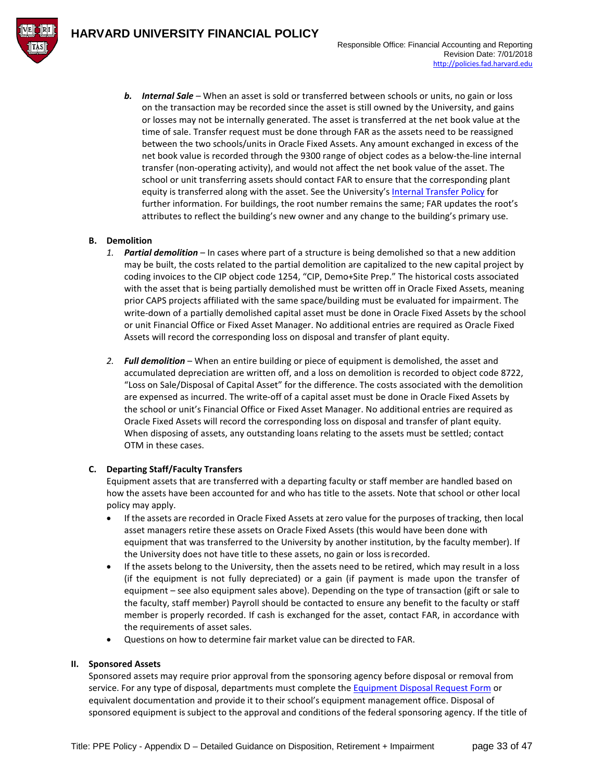

**b. Internal Sale** – When an asset is sold or transferred between schools or units, no gain or loss on the transaction may be recorded since the asset is still owned by the University, and gains or losses may not be internally generated. The asset is transferred at the net book value at the time of sale. Transfer request must be done through FAR as the assets need to be reassigned between the two schools/units in Oracle Fixed Assets. Any amount exchanged in excess of the net book value is recorded through the 9300 range of object codes as a below-the-line internal transfer (non-operating activity), and would not affect the net book value of the asset. The school or unit transferring assets should contact FAR to ensure that the corresponding plant equity is transferred along with the asset. See the University'[s Internal Transfer Policy](https://policies.fad.harvard.edu/pages/internal-transfers) for further information. For buildings, the root number remains the same; FAR updates the root's attributes to reflect the building's new owner and any change to the building's primary use.

### **B. Demolition**

- *1. Partial demolition* In cases where part of a structure is being demolished so that a new addition may be built, the costs related to the partial demolition are capitalized to the new capital project by coding invoices to the CIP object code 1254, "CIP, Demo+Site Prep." The historical costs associated with the asset that is being partially demolished must be written off in Oracle Fixed Assets, meaning prior CAPS projects affiliated with the same space/building must be evaluated for impairment. The write-down of a partially demolished capital asset must be done in Oracle Fixed Assets by the school or unit Financial Office or Fixed Asset Manager. No additional entries are required as Oracle Fixed Assets will record the corresponding loss on disposal and transfer of plant equity.
- *2. Full demolition* When an entire building or piece of equipment is demolished, the asset and accumulated depreciation are written off, and a loss on demolition is recorded to object code 8722, "Loss on Sale/Disposal of Capital Asset" for the difference. The costs associated with the demolition are expensed as incurred. The write-off of a capital asset must be done in Oracle Fixed Assets by the school or unit's Financial Office or Fixed Asset Manager. No additional entries are required as Oracle Fixed Assets will record the corresponding loss on disposal and transfer of plant equity. When disposing of assets, any outstanding loans relating to the assets must be settled; contact OTM in these cases.

### **C. Departing Staff/Faculty Transfers**

Equipment assets that are transferred with a departing faculty or staff member are handled based on how the assets have been accounted for and who has title to the assets. Note that school or other local policy may apply.

- If the assets are recorded in Oracle Fixed Assets at zero value for the purposes of tracking, then local asset managers retire these assets on Oracle Fixed Assets (this would have been done with equipment that was transferred to the University by another institution, by the faculty member). If the University does not have title to these assets, no gain or loss isrecorded.
- If the assets belong to the University, then the assets need to be retired, which may result in a loss (if the equipment is not fully depreciated) or a gain (if payment is made upon the transfer of equipment – see also equipment sales above). Depending on the type of transaction (gift or sale to the faculty, staff member) Payroll should be contacted to ensure any benefit to the faculty or staff member is properly recorded. If cash is exchanged for the asset, contact FAR, in accordance with the requirements of asset sales.
- Questions on how to determine fair market value can be directed to FAR.

### **II. Sponsored Assets**

Sponsored assets may require prior approval from the sponsoring agency before disposal or removal from service. For any type of disposal, departments must complete the **Equipment Disposal Request Form** or equivalent documentation and provide it to their school's equipment management office. Disposal of sponsored equipment is subject to the approval and conditions of the federal sponsoring agency. If the title of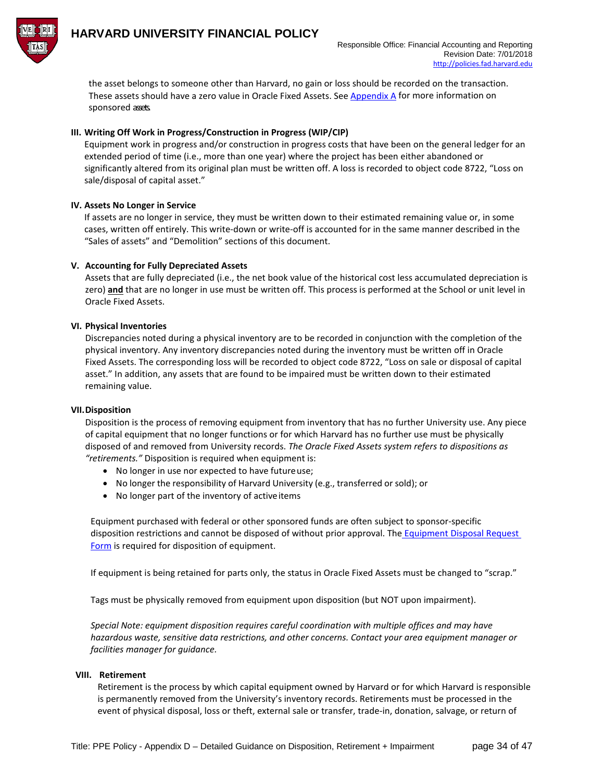

the asset belongs to someone other than Harvard, no gain or loss should be recorded on the transaction. These assets should have a zero value in Oracle Fixed Assets. Se[e Appendix A](#page-9-0) for more information on sponsored assets.

### **III. Writing Off Work in Progress/Construction in Progress (WIP/CIP)**

Equipment work in progress and/or construction in progress costs that have been on the general ledger for an extended period of time (i.e., more than one year) where the project has been either abandoned or significantly altered from its original plan must be written off. A loss is recorded to object code 8722, "Loss on sale/disposal of capital asset."

### **IV. Assets No Longer in Service**

If assets are no longer in service, they must be written down to their estimated remaining value or, in some cases, written off entirely. This write-down or write-off is accounted for in the same manner described in the "Sales of assets" and "Demolition" sections of this document.

### **V. Accounting for Fully Depreciated Assets**

Assets that are fully depreciated (i.e., the net book value of the historical cost less accumulated depreciation is zero) **and** that are no longer in use must be written off. This process is performed at the School or unit level in Oracle Fixed Assets.

### **VI. Physical Inventories**

Discrepancies noted during a physical inventory are to be recorded in conjunction with the completion of the physical inventory. Any inventory discrepancies noted during the inventory must be written off in Oracle Fixed Assets. The corresponding loss will be recorded to object code 8722, "Loss on sale or disposal of capital asset." In addition, any assets that are found to be impaired must be written down to their estimated remaining value.

### **VII.Disposition**

Disposition is the process of removing equipment from inventory that has no further University use. Any piece of capital equipment that no longer functions or for which Harvard has no further use must be physically disposed of and removed from University records. *The Oracle Fixed Assets system refers to dispositions as "retirements."* Disposition is required when equipment is:

- No longer in use nor expected to have futureuse;
- No longer the responsibility of Harvard University (e.g., transferred or sold); or
- No longer part of the inventory of active items

Equipment purchased with federal or other sponsored funds are often subject to sponsor-specific disposition restrictions and cannot be disposed of without prior approval. The [Equipment Disposal Request](https://oc.finance.harvard.edu/resources/forms-and-templates)  [Form](https://oc.finance.harvard.edu/resources/forms-and-templates) is required for disposition of equipment.

If equipment is being retained for parts only, the status in Oracle Fixed Assets must be changed to "scrap."

Tags must be physically removed from equipment upon disposition (but NOT upon impairment).

*Special Note: equipment disposition requires careful coordination with multiple offices and may have hazardous waste, sensitive data restrictions, and other concerns. Contact your area equipment manager or facilities manager for guidance.*

### **VIII. Retirement**

Retirement is the process by which capital equipment owned by Harvard or for which Harvard is responsible is permanently removed from the University's inventory records. Retirements must be processed in the event of physical disposal, loss or theft, external sale or transfer, trade-in, donation, salvage, or return of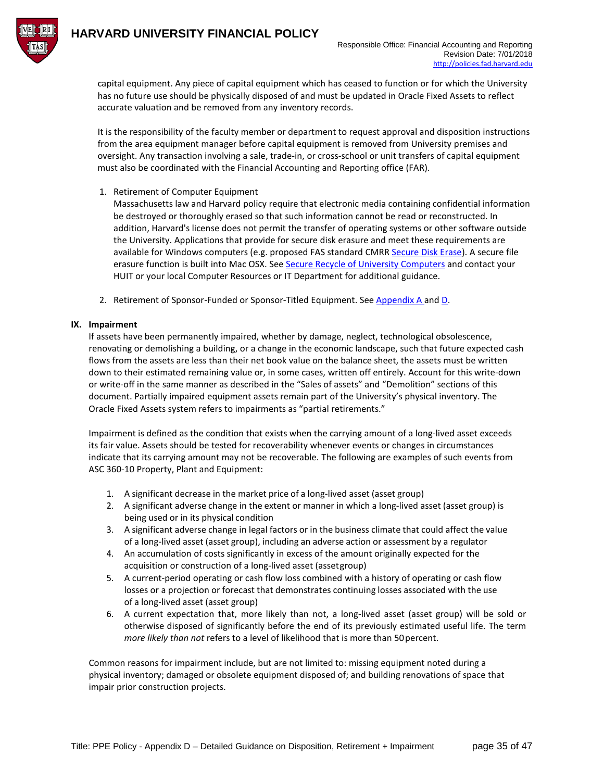

capital equipment. Any piece of capital equipment which has ceased to function or for which the University has no future use should be physically disposed of and must be updated in Oracle Fixed Assets to reflect accurate valuation and be removed from any inventory records.

It is the responsibility of the faculty member or department to request approval and disposition instructions from the area equipment manager before capital equipment is removed from University premises and oversight. Any transaction involving a sale, trade-in, or cross-school or unit transfers of capital equipment must also be coordinated with the Financial Accounting and Reporting office (FAR).

1. Retirement of Computer Equipment

Massachusetts law and Harvard policy require that electronic media containing confidential information be destroyed or thoroughly erased so that such information cannot be read or reconstructed. In addition, Harvard's license does not permit the transfer of operating systems or other software outside the University. Applications that provide for secure disk erasure and meet these requirements are available for Windows computers (e.g. proposed FAS standard CMR[R Secure Disk Erase\)](https://security.harvard.edu/files/it-security-new/files/secure_computer_recycling_advisory.pdf). A secure file erasure function is built into Mac OSX. See [Secure Recycle of University Computers](https://security.harvard.edu/pages/secure-computer-recycling) and contact your HUIT or your local Computer Resources or IT Department for additional guidance.

2. Retirement of Sponsor-Funded or Sponsor-Titled Equipment. Se[e Appendix A a](#page-12-0)nd [D.](#page-31-0)

### **IX. Impairment**

If assets have been permanently impaired, whether by damage, neglect, technological obsolescence, renovating or demolishing a building, or a change in the economic landscape, such that future expected cash flows from the assets are less than their net book value on the balance sheet, the assets must be written down to their estimated remaining value or, in some cases, written off entirely. Account for this write-down or write-off in the same manner as described in the "Sales of assets" and "Demolition" sections of this document. Partially impaired equipment assets remain part of the University's physical inventory. The Oracle Fixed Assets system refers to impairments as "partial retirements."

Impairment is defined as the condition that exists when the carrying amount of a long-lived asset exceeds its fair value. Assets should be tested for recoverability whenever events or changes in circumstances indicate that its carrying amount may not be recoverable. The following are examples of such events from ASC 360-10 Property, Plant and Equipment:

- 1. A significant decrease in the market price of a long-lived asset (asset group)
- 2. A significant adverse change in the extent or manner in which a long-lived asset (asset group) is being used or in its physical condition
- 3. A significant adverse change in legal factors or in the business climate that could affect the value of a long-lived asset (asset group), including an adverse action or assessment by a regulator
- 4. An accumulation of costs significantly in excess of the amount originally expected for the acquisition or construction of a long-lived asset (assetgroup)
- 5. A current-period operating or cash flow loss combined with a history of operating or cash flow losses or a projection or forecast that demonstrates continuing losses associated with the use of a long-lived asset (asset group)
- 6. A current expectation that, more likely than not, a long-lived asset (asset group) will be sold or otherwise disposed of significantly before the end of its previously estimated useful life. The term *more likely than not* refers to a level of likelihood that is more than 50percent.

Common reasons for impairment include, but are not limited to: missing equipment noted during a physical inventory; damaged or obsolete equipment disposed of; and building renovations of space that impair prior construction projects.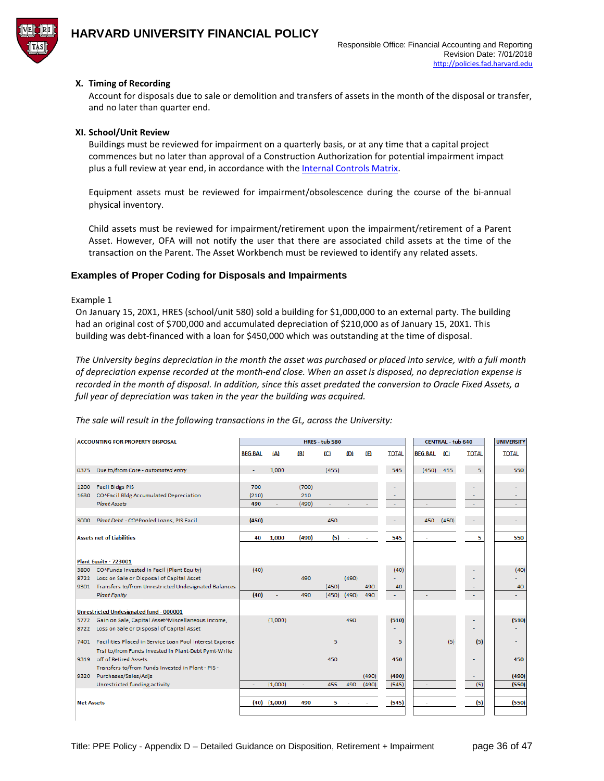

### **X. Timing of Recording**

Account for disposals due to sale or demolition and transfers of assets in the month of the disposal or transfer, and no later than quarter end.

### **XI. School/Unit Review**

Buildings must be reviewed for impairment on a quarterly basis, or at any time that a capital project commences but no later than approval of a Construction Authorization for potential impairment impact plus a full review at year end, in accordance with the [Internal Controls Matrix.](https://hwpi.harvard.edu/internalcontrols/business-cycle-controls-matrices)

Equipment assets must be reviewed for impairment/obsolescence during the course of the bi-annual physical inventory.

Child assets must be reviewed for impairment/retirement upon the impairment/retirement of a Parent Asset. However, OFA will not notify the user that there are associated child assets at the time of the transaction on the Parent. The Asset Workbench must be reviewed to identify any related assets.

### **Examples of Proper Coding for Disposals and Impairments**

Example 1

On January 15, 20X1, HRES (school/unit 580) sold a building for \$1,000,000 to an external party. The building had an original cost of \$700,000 and accumulated depreciation of \$210,000 as of January 15, 20X1. This building was debt-financed with a loan for \$450,000 which was outstanding at the time of disposal.

*The University begins depreciation in the month the asset was purchased or placed into service, with a full month of depreciation expense recorded at the month-end close. When an asset is disposed, no depreciation expense is recorded in the month of disposal. In addition, since this asset predated the conversion to Oracle Fixed Assets, a full year of depreciation was taken in the year the building was acquired.*

*The sale will result in the following transactions in the GL, across the University:*

| <b>ACCOUNTING FOR PROPERTY DISPOSAL</b> |                                                                |                | <b>HRES - tub 580</b> |       |       |       |       |              | <b>CENTRAL - tub 640</b> | <b>UNIVERSITY</b> |                |              |
|-----------------------------------------|----------------------------------------------------------------|----------------|-----------------------|-------|-------|-------|-------|--------------|--------------------------|-------------------|----------------|--------------|
|                                         |                                                                | <b>BEG BAL</b> | (A)                   | (B)   | (C)   | (D)   | (E)   | <b>TOTAL</b> | <b>BEG BAL</b>           | (C)               | <b>TOTAL</b>   | <b>TOTAL</b> |
| 0375                                    | Due to/from Core - automated entry                             | ٠              | 1.000                 |       | (455) |       |       | 545          | (450)                    | 455               | 5              | 550          |
| 1200                                    | <b>Facil Bldgs PIS</b>                                         | 700            |                       | (700) |       |       |       |              |                          |                   |                |              |
| 1630                                    | CO^Facil Bldg Accumulated Depreciation                         | (210)          |                       | 210   |       |       |       |              |                          |                   |                |              |
|                                         | <b>Plant Assets</b>                                            | 490            | ä,                    | (490) |       |       |       |              |                          |                   | $\sim$         | ٠            |
|                                         |                                                                |                |                       |       |       |       |       |              |                          |                   |                |              |
| 3000                                    | Plant Debt - CO^Pooled Loans, PIS Facil                        | (450)          |                       |       | 450   |       |       |              | 450                      | (450)             | $\blacksquare$ | ٠            |
|                                         | <b>Assets net of Liabilities</b>                               | 40             | 1,000                 | (490) | (5)   |       |       | 545          |                          |                   | 5              | 550          |
|                                         | Plant Equity - 723001                                          |                |                       |       |       |       |       |              |                          |                   |                |              |
| 3800                                    | CO^Funds Invested in Facil (Plant Equity)                      | (40)           |                       |       |       |       |       | (40)         |                          |                   |                | (40)         |
| 8722                                    | Loss on Sale or Disposal of Capital Asset                      |                |                       | 490   |       | (490) |       |              |                          |                   |                |              |
|                                         | 9301 Transfers to/from Unrestricted Undesignated Balances      |                |                       |       | (450) |       | 490   | 40           |                          |                   |                | 40           |
|                                         | <b>Plant Equity</b>                                            | (40)           |                       | 490   | (450) | (490) | 490   |              |                          |                   | $\sim$         |              |
|                                         |                                                                |                |                       |       |       |       |       |              |                          |                   |                |              |
|                                         | <b>Unrestricted Undesignated fund - 000001</b>                 |                |                       |       |       |       |       |              |                          |                   |                |              |
| 5772                                    | Gain on Sale, Capital Asset <sup>A</sup> Miscellaneous Income, |                | (1.000)               |       |       | 490   |       | (510)        |                          |                   | ۰              | (510)        |
| 8722                                    | Loss on Sale or Disposal of Capital Asset                      |                |                       |       |       |       |       |              |                          |                   |                |              |
| 7401                                    | Facilities Placed in Service Loan Pool Interest Expense        |                |                       |       | 5     |       |       | 5            |                          | (5)               | (5)            |              |
|                                         | Trsf to/from Funds Invested in Plant-Debt Pymt-Write           |                |                       |       |       |       |       |              |                          |                   |                |              |
| 9319                                    | off of Retired Assets                                          |                |                       |       | 450   |       |       | 450          |                          |                   |                | 450          |
|                                         | Transfers to/from Funds Invested in Plant - PIS -              |                |                       |       |       |       |       |              |                          |                   |                |              |
| 9320                                    | Purchases/Sales/Adjs                                           |                |                       |       |       |       | (490) | (490)        |                          |                   | ٠              | (490)        |
|                                         | Unrestricted funding activity                                  |                | (1,000)               |       | 455   | 490   | (490) | (545)        |                          |                   | (5)            | (550)        |
|                                         |                                                                |                |                       |       |       |       |       |              |                          |                   |                |              |
| <b>Net Assets</b>                       |                                                                |                | $(40)$ $(1,000)$      | 490   | $5 -$ |       | ٠     | (545)        |                          |                   | (5)            | (550)        |
|                                         |                                                                |                |                       |       |       |       |       |              |                          |                   |                |              |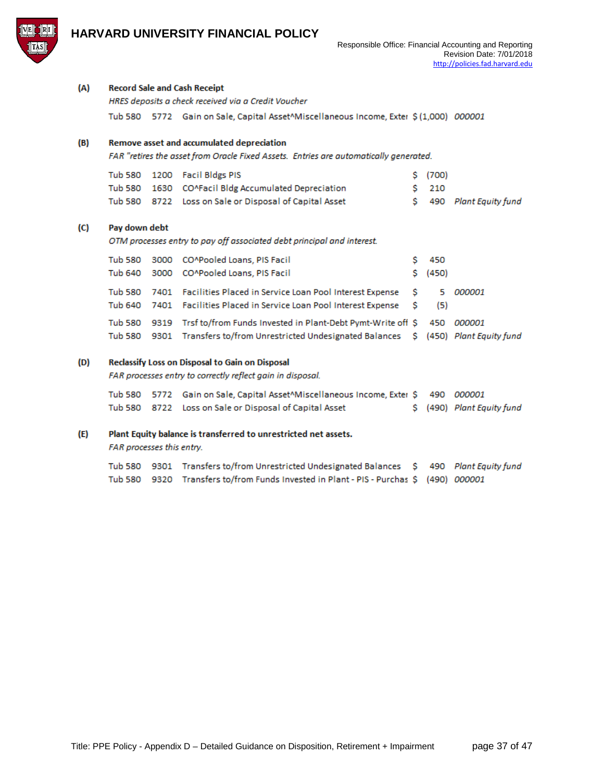

**Record Sale and Cash Receipt** 

\$ 490 Plant Equity fund



 $(A)$ 

|     |               | HRES deposits a check received via a Credit Voucher                                                                                |    |       |          |
|-----|---------------|------------------------------------------------------------------------------------------------------------------------------------|----|-------|----------|
|     |               | Tub 580 5772 Gain on Sale, Capital Asset <sup>A</sup> Miscellaneous Income, Exter \$ (1,000) 000001                                |    |       |          |
| (B) |               | Remove asset and accumulated depreciation<br>FAR "retires the asset from Oracle Fixed Assets. Entries are automatically generated. |    |       |          |
|     | Tub 580       | 1200 Facil Bldgs PIS                                                                                                               |    | (700) |          |
|     | Tub 580       | 1630 CO^Facil Bldg Accumulated Depreciation                                                                                        | s. | 210   |          |
|     |               | Tub 580 8722 Loss on Sale or Disposal of Capital Asset                                                                             | S. | 490   | Plant Ea |
| (C) | Pay down debt | .                                                                                                                                  |    |       |          |

OTM processes entry to pay off associated debt principal and interest.

|  | Tub 580 3000 CO^Pooled Loans, PIS Facil                                                                                                                        | 450<br>\$ (450) |          |
|--|----------------------------------------------------------------------------------------------------------------------------------------------------------------|-----------------|----------|
|  | Tub 580  7401 Facilities Placed in Service Loan Pool Interest Expense   \$<br>Tub 640  7401  Facilities Placed in Service Loan Pool Interest Expense   \$  (5) |                 | 5 000001 |
|  | Tub 580 9319 Trsf to/from Funds Invested in Plant-Debt Pymt-Write off \$ 450 000001                                                                            |                 |          |
|  | Tub 580 9301 Transfers to/from Unrestricted Undesignated Balances \$ (450) Plant Equity fund                                                                   |                 |          |

#### (D) Reclassify Loss on Disposal to Gain on Disposal

FAR processes entry to correctly reflect gain in disposal.

|  | Tub 580 5772 Gain on Sale, Capital Asset <sup>A</sup> Miscellaneous Income, Exter \$ 490 000001 |  |                            |
|--|-------------------------------------------------------------------------------------------------|--|----------------------------|
|  | Tub 580 8722 Loss on Sale or Disposal of Capital Asset                                          |  | \$ (490) Plant Equity fund |

#### $(E)$ Plant Equity balance is transferred to unrestricted net assets.

FAR processes this entry.

|  | Tub 580 9301 Transfers to/from Unrestricted Undesignated Balances \$ 490 Plant Equity fund |  |  |
|--|--------------------------------------------------------------------------------------------|--|--|
|  | Tub 580 9320 Transfers to/from Funds Invested in Plant - PIS - Purchas S (490) 000001      |  |  |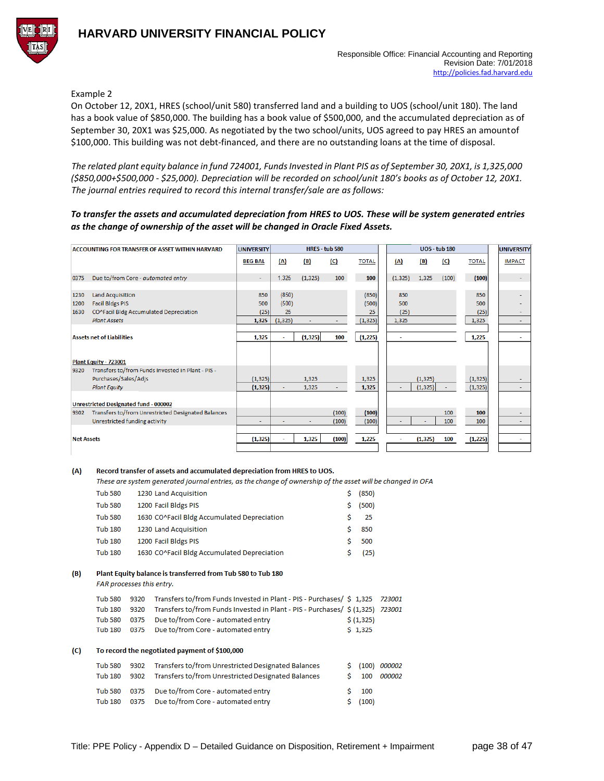

### Example 2

On October 12, 20X1, HRES (school/unit 580) transferred land and a building to UOS (school/unit 180). The land has a book value of \$850,000. The building has a book value of \$500,000, and the accumulated depreciation as of September 30, 20X1 was \$25,000. As negotiated by the two school/units, UOS agreed to pay HRES an amountof \$100,000. This building was not debt-financed, and there are no outstanding loans at the time of disposal.

*The related plant equity balance in fund 724001, Funds Invested in Plant PIS as of September 30, 20X1, is 1,325,000 (\$850,000+\$500,000 - \$25,000). Depreciation will be recorded on school/unit 180's books as of October 12, 20X1. The journal entries required to record this internal transfer/sale are as follows:*

### *To transfer the assets and accumulated depreciation from HRES to UOS. These will be system generated entries as the change of ownership of the asset will be changed in Oracle Fixed Assets.*

| <b>ACCOUNTING FOR TRANSFER OF ASSET WITHIN HARVARD</b> |                                                                                                                              | <b>UNIVERSITY</b>           |                                  |                | <b>HRES - tub 580</b>   |                         | <b>UOS - tub 180</b> |                      |                   |                             |  | <b>UNIVERSITY</b> |  |  |
|--------------------------------------------------------|------------------------------------------------------------------------------------------------------------------------------|-----------------------------|----------------------------------|----------------|-------------------------|-------------------------|----------------------|----------------------|-------------------|-----------------------------|--|-------------------|--|--|
|                                                        |                                                                                                                              | <b>BEG BAL</b>              | (A)                              | (B)            | $\mathbf{C}$            | <b>TOTAL</b>            | (A)                  | (B)                  | (C)               | <b>TOTAL</b>                |  | <b>IMPACT</b>     |  |  |
| 0375                                                   | Due to/from Core - automated entry                                                                                           | $\sim$                      | 1,325                            | (1, 325)       | 100                     | 100                     | (1, 325)             | 1,325                | (100)             | (100)                       |  |                   |  |  |
| 1230<br>1200<br>1630                                   | <b>Land Acquisition</b><br><b>Facil Bldgs PIS</b><br>CO^Facil Bldg Accumulated Depreciation<br><b>Plant Assets</b>           | 850<br>500<br>(25)<br>1,325 | (850)<br>(500)<br>25<br>(1, 325) |                |                         | (850)<br>(500)<br>25    | 850<br>500<br>(25)   |                      |                   | 850<br>500<br>(25)<br>1,325 |  | ٠                 |  |  |
|                                                        | <b>Assets net of Liabilities</b>                                                                                             | 1,325                       | $\sim$                           | (1, 325)       | 100                     | (1, 325)<br>(1,225)     | 1,325<br>٠           |                      |                   | 1,225                       |  | ٠                 |  |  |
| 9320                                                   | Plant Equity - 723001<br>Transfers to/from Funds Invested in Plant - PIS -<br>Purchases/Sales/Adjs<br><b>Plant Equity</b>    | (1, 325)<br>(1, 325)        |                                  | 1,325<br>1,325 |                         | 1,325<br>1,325          | ÷                    | (1, 325)<br>(1, 325) |                   | (1, 325)<br>(1, 325)        |  | ۰                 |  |  |
| 9302<br><b>Net Assets</b>                              | Unrestricted Designated fund - 000002<br>Transfers to/from Unrestricted Designated Balances<br>Unrestricted funding activity | ۰<br>(1, 325)               | ٠                                | 1,325          | (100)<br>(100)<br>(100) | (100)<br>(100)<br>1,225 | ٠                    | (1, 325)             | 100<br>100<br>100 | 100<br>100<br>(1,225)       |  |                   |  |  |

 $(A)$ Record transfer of assets and accumulated depreciation from HRES to UOS.

These are system generated journal entries, as the change of ownership of the asset will be changed in OFA

|     | <b>Tub 580</b>            |      | 1230 Land Acquisition                                                   | Ś  | (850)     |        |
|-----|---------------------------|------|-------------------------------------------------------------------------|----|-----------|--------|
|     | <b>Tub 580</b>            |      | 1200 Facil Bldgs PIS                                                    | Ś  | (500)     |        |
|     | <b>Tub 580</b>            |      | 1630 CO^Facil Bldg Accumulated Depreciation                             | \$ | 25        |        |
|     | <b>Tub 180</b>            |      | 1230 Land Acquisition                                                   | Ś  | 850       |        |
|     | <b>Tub 180</b>            |      | 1200 Facil Bldgs PIS                                                    | Ś  | 500       |        |
|     | <b>Tub 180</b>            |      | 1630 CO^Facil Bldg Accumulated Depreciation                             | \$ | (25)      |        |
| (B) | FAR processes this entry. |      | Plant Equity balance is transferred from Tub 580 to Tub 180             |    |           |        |
|     | <b>Tub 580</b>            | 9320 | Transfers to/from Funds Invested in Plant - PIS - Purchases/ \$ 1,325   |    |           | 723001 |
|     | <b>Tub 180</b>            | 9320 | Transfers to/from Funds Invested in Plant - PIS - Purchases/ \$ (1,325) |    |           | 723001 |
|     | <b>Tub 580</b>            | 0375 | Due to/from Core - automated entry                                      |    | \$(1,325) |        |
|     | <b>Tub 180</b>            | 0375 | Due to/from Core - automated entry                                      |    | \$1,325   |        |
| (C) |                           |      | To record the negotiated payment of \$100,000                           |    |           |        |
|     | <b>Tub 580</b>            | 9302 | Transfers to/from Unrestricted Designated Balances                      | Ŝ. | (100)     | 000002 |
|     | <b>Tub 180</b>            | 9302 | Transfers to/from Unrestricted Designated Balances                      | Ś  | 100       | 000002 |
|     | <b>Tub 580</b>            | 0375 | Due to/from Core - automated entry                                      | Ś  | 100       |        |
|     | <b>Tub 180</b>            | 0375 | Due to/from Core - automated entry                                      | \$ | (100)     |        |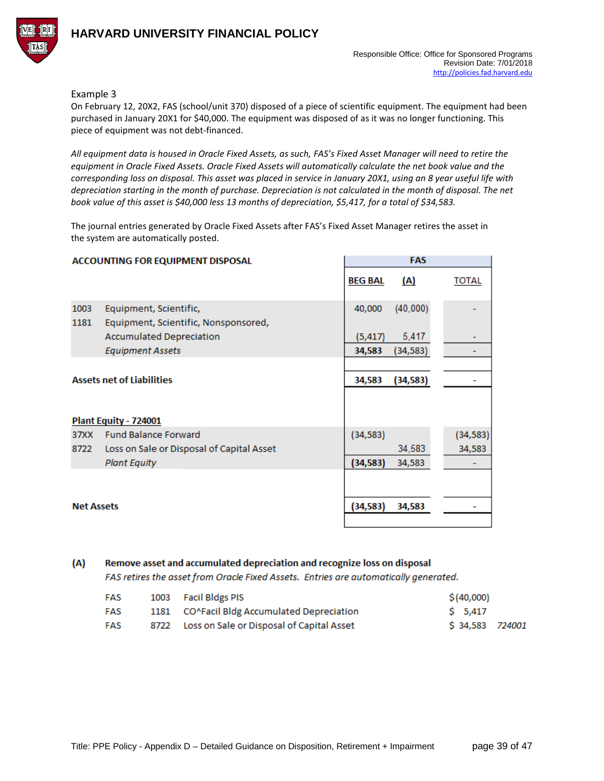### Example 3

On February 12, 20X2, FAS (school/unit 370) disposed of a piece of scientific equipment. The equipment had been purchased in January 20X1 for \$40,000. The equipment was disposed of as it was no longer functioning. This piece of equipment was not debt-financed.

*All equipment data is housed in Oracle Fixed Assets, as such, FAS's Fixed Asset Manager will need to retire the equipment in Oracle Fixed Assets. Oracle Fixed Assets will automatically calculate the net book value and the corresponding loss on disposal. This asset was placed in service in January 20X1, using an 8 year useful life with depreciation starting in the month of purchase. Depreciation is not calculated in the month of disposal. The net book value of this asset is \$40,000 less 13 months of depreciation, \$5,417, for a total of \$34,583.*

The journal entries generated by Oracle Fixed Assets after FAS's Fixed Asset Manager retires the asset in the system are automatically posted.

|                   | <b>ACCOUNTING FOR EQUIPMENT DISPOSAL</b>                       | <b>FAS</b>     |           |           |  |  |  |  |  |
|-------------------|----------------------------------------------------------------|----------------|-----------|-----------|--|--|--|--|--|
|                   |                                                                | <b>BEG BAL</b> | (A)       | TOTAL     |  |  |  |  |  |
| 1003<br>1181      | Equipment, Scientific,<br>Equipment, Scientific, Nonsponsored, | 40,000         | (40,000)  |           |  |  |  |  |  |
|                   | <b>Accumulated Depreciation</b>                                | (5, 417)       | 5,417     |           |  |  |  |  |  |
|                   | <b>Equipment Assets</b>                                        | 34,583         | (34, 583) |           |  |  |  |  |  |
|                   |                                                                |                |           |           |  |  |  |  |  |
|                   | <b>Assets net of Liabilities</b>                               | 34,583         | (34, 583) |           |  |  |  |  |  |
|                   | Plant Equity - 724001                                          |                |           |           |  |  |  |  |  |
| 37XX              | <b>Fund Balance Forward</b>                                    | (34, 583)      |           | (34, 583) |  |  |  |  |  |
| 8722              | Loss on Sale or Disposal of Capital Asset                      |                | 34,583    | 34,583    |  |  |  |  |  |
|                   | <b>Plant Equity</b>                                            | (34, 583)      | 34,583    |           |  |  |  |  |  |
|                   |                                                                |                |           |           |  |  |  |  |  |
| <b>Net Assets</b> |                                                                | (34, 583)      | 34,583    |           |  |  |  |  |  |
|                   |                                                                |                |           |           |  |  |  |  |  |

#### $(A)$ Remove asset and accumulated depreciation and recognize loss on disposal

FAS retires the asset from Oracle Fixed Assets. Entries are automatically generated.

<span id="page-38-0"></span>

| FAS        | 1003 Facil Bldgs PIS                           | \$ (40,000)     |
|------------|------------------------------------------------|-----------------|
| FAS        | 1181 CO^Facil Bldg Accumulated Depreciation    | \$ 5,417        |
| <b>FAS</b> | 8722 Loss on Sale or Disposal of Capital Asset | \$34,583 724001 |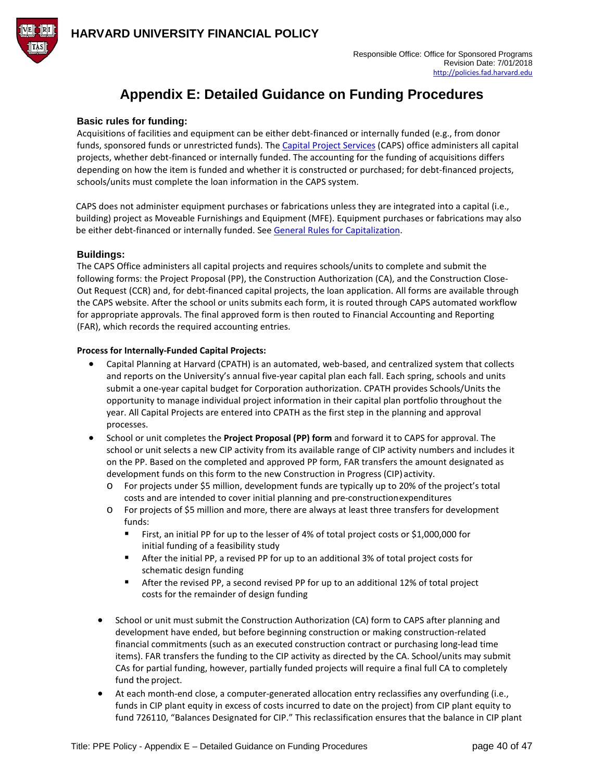

# **Appendix E: Detailed Guidance on Funding Procedures**

### **Basic rules for funding:**

Acquisitions of facilities and equipment can be either debt-financed or internally funded (e.g., from donor funds, sponsored funds or unrestricted funds). Th[e Capital Project Services](https://wiki.harvard.edu/confluence/pages/viewpage.action?pageId=192940708) (CAPS) office administers all capital projects, whether debt-financed or internally funded. The accounting for the funding of acquisitions differs depending on how the item is funded and whether it is constructed or purchased; for debt-financed projects, schools/units must complete the loan information in the CAPS system.

CAPS does not administer equipment purchases or fabrications unless they are integrated into a capital (i.e., building) project as Moveable Furnishings and Equipment (MFE). Equipment purchases or fabrications may also be either debt-financed or internally funded. See [General Rules for Capitalization.](#page-0-0)

### **Buildings:**

The CAPS Office administers all capital projects and requires schools/units to complete and submit the following forms: the Project Proposal (PP), the Construction Authorization (CA), and the Construction Close-Out Request (CCR) and, for debt-financed capital projects, the loan application. All forms are available through the [CAPS website.](https://fss.finance.harvard.edu/applications) After the school or units submits each form, it is routed through CAPS automated workflow for appropriate approvals. The final approved form is then routed to Financial Accounting and Reporting (FAR), which records the required accounting entries.

### **Process for Internally-Funded Capital Projects:**

- Capital Planning at Harvard (CPATH) is an automated, web-based, and centralized system that collects and reports on the University's annual five-year capital plan each fall. Each spring, schools and units submit a one-year capital budget for Corporation authorization. CPATH provides Schools/Units the opportunity to manage individual project information in their capital plan portfolio throughout the year. All Capital Projects are entered into CPATH as the first step in the planning and approval processes.
- School or unit completes the **Project Proposal (PP) form** and forward it to CAPS for approval. The school or unit selects a new CIP activity from its available range of CIP activity numbers and includes it on the PP. Based on the completed and approved PP form, FAR transfers the amount designated as development funds on this form to the new Construction in Progress (CIP) activity.
	- o For projects under \$5 million, development funds are typically up to 20% of the project's total costs and are intended to cover initial planning and pre-constructionexpenditures
	- o For projects of \$5 million and more, there are always at least three transfers for development funds:
		- First, an initial PP for up to the lesser of 4% of total project costs or \$1,000,000 for initial funding of a feasibility study
		- After the initial PP, a revised PP for up to an additional 3% of total project costs for schematic design funding
		- After the revised PP, a second revised PP for up to an additional 12% of total project costs for the remainder of design funding
	- School or unit must submit the Construction Authorization (CA) form to CAPS after planning and development have ended, but before beginning construction or making construction-related financial commitments (such as an executed construction contract or purchasing long-lead time items). FAR transfers the funding to the CIP activity as directed by the CA. School/units may submit CAs for partial funding, however, partially funded projects will require a final full CA to completely fund the project.
	- At each month-end close, a computer-generated allocation entry reclassifies any overfunding (i.e., funds in CIP plant equity in excess of costs incurred to date on the project) from CIP plant equity to fund 726110, "Balances Designated for CIP." This reclassification ensures that the balance in CIP plant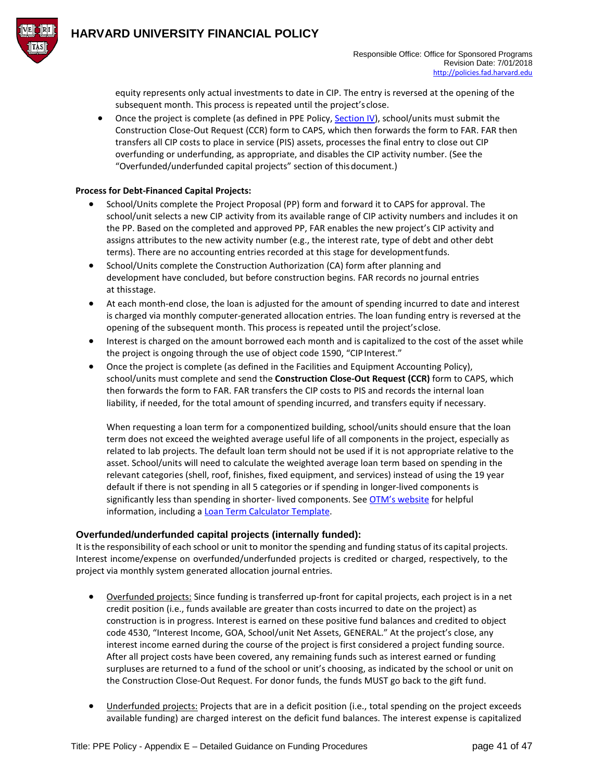

equity represents only actual investments to date in CIP. The entry is reversed at the opening of the subsequent month. This process is repeated until the project's close.

Once the project is complete (as defined in PPE Policy, [Section IV\)](#page-3-0), school/units must submit the Construction Close-Out Request (CCR) form to CAPS, which then forwards the form to FAR. FAR then transfers all CIP costs to place in service (PIS) assets, processes the final entry to close out CIP overfunding or underfunding, as appropriate, and disables the CIP activity number. (See the "Overfunded/underfunded capital projects" section of thisdocument.)

### **Process for Debt-Financed Capital Projects:**

- School/Units complete the Project Proposal (PP) form and forward it to CAPS for approval. The school/unit selects a new CIP activity from its available range of CIP activity numbers and includes it on the PP. Based on the completed and approved PP, FAR enables the new project's CIP activity and assigns attributes to the new activity number (e.g., the interest rate, type of debt and other debt terms). There are no accounting entries recorded at this stage for developmentfunds.
- School/Units complete the Construction Authorization (CA) form after planning and development have concluded, but before construction begins. FAR records no journal entries at thisstage.
- At each month-end close, the loan is adjusted for the amount of spending incurred to date and interest is charged via monthly computer-generated allocation entries. The loan funding entry is reversed at the opening of the subsequent month. This process is repeated until the project'sclose.
- Interest is charged on the amount borrowed each month and is capitalized to the cost of the asset while the project is ongoing through the use of object code 1590, "CIPInterest."
- Once the project is complete (as defined in the Facilities and Equipment Accounting Policy), school/units must complete and send the **Construction Close-Out Request (CCR)** form to CAPS, which then forwards the form to FAR. FAR transfers the CIP costs to PIS and records the internal loan liability, if needed, for the total amount of spending incurred, and transfers equity if necessary.

When requesting a loan term for a componentized building, school/units should ensure that the loan term does not exceed the weighted average useful life of all components in the project, especially as related to lab projects. The default loan term should not be used if it is not appropriate relative to the asset. School/units will need to calculate the weighted average loan term based on spending in the relevant categories (shell, roof, finishes, fixed equipment, and services) instead of using the 19 year default if there is not spending in all 5 categories or if spending in longer-lived components is significantly less than spending in shorter- lived components. See [OTM's website](http://otm.finance.harvard.edu/pages/debt-financing) for helpful information, including a [Loan Term Calculator Template.](http://hwpi.harvard.edu/os_fast/files/otm/loan_term_calculator.xlsx)

### **Overfunded/underfunded capital projects (internally funded):**

It is the responsibility of each school or unit to monitor the spending and funding status of its capital projects. Interest income/expense on overfunded/underfunded projects is credited or charged, respectively, to the project via monthly system generated allocation journal entries.

- Overfunded projects: Since funding is transferred up-front for capital projects, each project is in a net credit position (i.e., funds available are greater than costs incurred to date on the project) as construction is in progress. Interest is earned on these positive fund balances and credited to object code 4530, "Interest Income, GOA, School/unit Net Assets, GENERAL." At the project's close, any interest income earned during the course of the project is first considered a project funding source. After all project costs have been covered, any remaining funds such as interest earned or funding surpluses are returned to a fund of the school or unit's choosing, as indicated by the school or unit on the Construction Close-Out Request. For donor funds, the funds MUST go back to the gift fund.
- Underfunded projects: Projects that are in a deficit position (i.e., total spending on the project exceeds available funding) are charged interest on the deficit fund balances. The interest expense is capitalized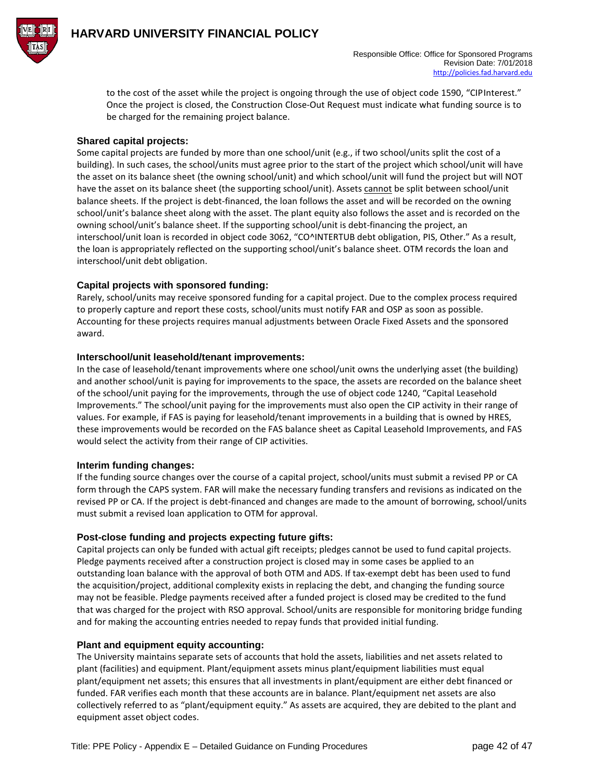

to the cost of the asset while the project is ongoing through the use of object code 1590, "CIPInterest." Once the project is closed, the Construction Close-Out Request must indicate what funding source is to be charged for the remaining project balance.

### **Shared capital projects:**

Some capital projects are funded by more than one school/unit (e.g., if two school/units split the cost of a building). In such cases, the school/units must agree prior to the start of the project which school/unit will have the asset on its balance sheet (the owning school/unit) and which school/unit will fund the project but will NOT have the asset on its balance sheet (the supporting school/unit). Assets cannot be split between school/unit balance sheets. If the project is debt-financed, the loan follows the asset and will be recorded on the owning school/unit's balance sheet along with the asset. The plant equity also follows the asset and is recorded on the owning school/unit's balance sheet. If the supporting school/unit is debt-financing the project, an interschool/unit loan is recorded in object code 3062, "CO^INTERTUB debt obligation, PIS, Other." As a result, the loan is appropriately reflected on the supporting school/unit's balance sheet. OTM records the loan and interschool/unit debt obligation.

### **Capital projects with sponsored funding:**

Rarely, school/units may receive sponsored funding for a capital project. Due to the complex process required to properly capture and report these costs, school/units must notify FAR and OSP as soon as possible. Accounting for these projects requires manual adjustments between Oracle Fixed Assets and the sponsored award.

### **Interschool/unit leasehold/tenant improvements:**

In the case of leasehold/tenant improvements where one school/unit owns the underlying asset (the building) and another school/unit is paying for improvements to the space, the assets are recorded on the balance sheet of the school/unit paying for the improvements, through the use of object code 1240, "Capital Leasehold Improvements." The school/unit paying for the improvements must also open the CIP activity in their range of values. For example, if FAS is paying for leasehold/tenant improvements in a building that is owned by HRES, these improvements would be recorded on the FAS balance sheet as Capital Leasehold Improvements, and FAS would select the activity from their range of CIP activities.

### **Interim funding changes:**

If the funding source changes over the course of a capital project, school/units must submit a revised PP or CA form through the CAPS system. FAR will make the necessary funding transfers and revisions as indicated on the revised PP or CA. If the project is debt-financed and changes are made to the amount of borrowing, school/units must submit a revised loan application to OTM for approval.

### **Post-close funding and projects expecting future gifts:**

Capital projects can only be funded with actual gift receipts; pledges cannot be used to fund capital projects. Pledge payments received after a construction project is closed may in some cases be applied to an outstanding loan balance with the approval of both OTM and ADS. If tax-exempt debt has been used to fund the acquisition/project, additional complexity exists in replacing the debt, and changing the funding source may not be feasible. Pledge payments received after a funded project is closed may be credited to the fund that was charged for the project with RSO approval. School/units are responsible for monitoring bridge funding and for making the accounting entries needed to repay funds that provided initial funding.

### **Plant and equipment equity accounting:**

The University maintains separate sets of accounts that hold the assets, liabilities and net assets related to plant (facilities) and equipment. Plant/equipment assets minus plant/equipment liabilities must equal plant/equipment net assets; this ensures that all investments in plant/equipment are either debt financed or funded. FAR verifies each month that these accounts are in balance. Plant/equipment net assets are also collectively referred to as "plant/equipment equity." As assets are acquired, they are debited to the plant and equipment asset object codes.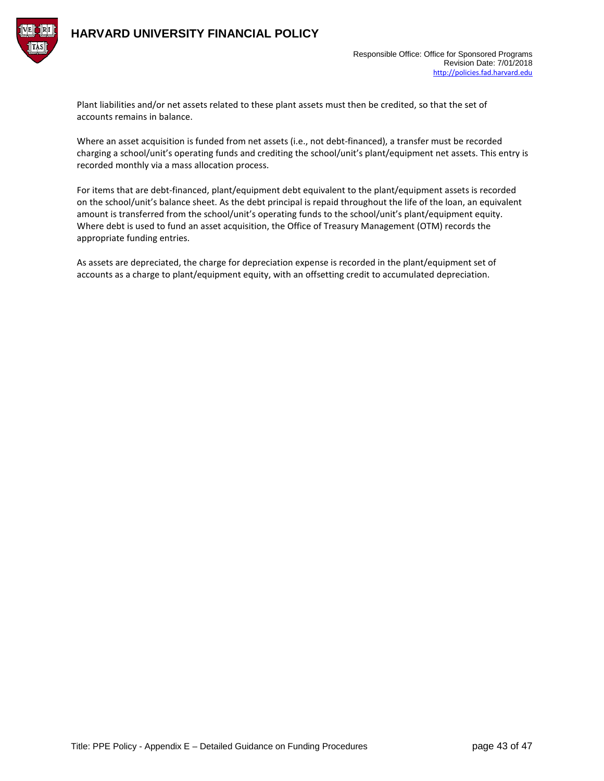

Plant liabilities and/or net assets related to these plant assets must then be credited, so that the set of accounts remains in balance.

Where an asset acquisition is funded from net assets (i.e., not debt-financed), a transfer must be recorded charging a school/unit's operating funds and crediting the school/unit's plant/equipment net assets. This entry is recorded monthly via a mass allocation process.

For items that are debt-financed, plant/equipment debt equivalent to the plant/equipment assets is recorded on the school/unit's balance sheet. As the debt principal is repaid throughout the life of the loan, an equivalent amount is transferred from the school/unit's operating funds to the school/unit's plant/equipment equity. Where debt is used to fund an asset acquisition, the Office of Treasury Management (OTM) records the appropriate funding entries.

As assets are depreciated, the charge for depreciation expense is recorded in the plant/equipment set of accounts as a charge to plant/equipment equity, with an offsetting credit to accumulated depreciation.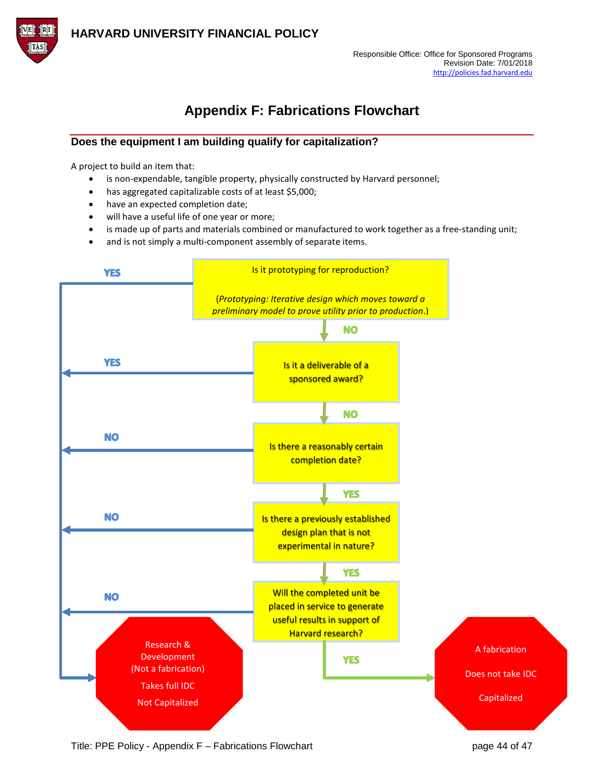



# **Appendix F: Fabrications Flowchart**

### <span id="page-43-0"></span>**Does the equipment I am building qualify for capitalization?**

A project to build an item that:

- is non-expendable, tangible property, physically constructed by Harvard personnel;
- has aggregated capitalizable costs of at least \$5,000;
- have an expected completion date;
- will have a useful life of one year or more;
- is made up of parts and materials combined or manufactured to work together as a free-standing unit;
- and is not simply a multi-component assembly of separate items.

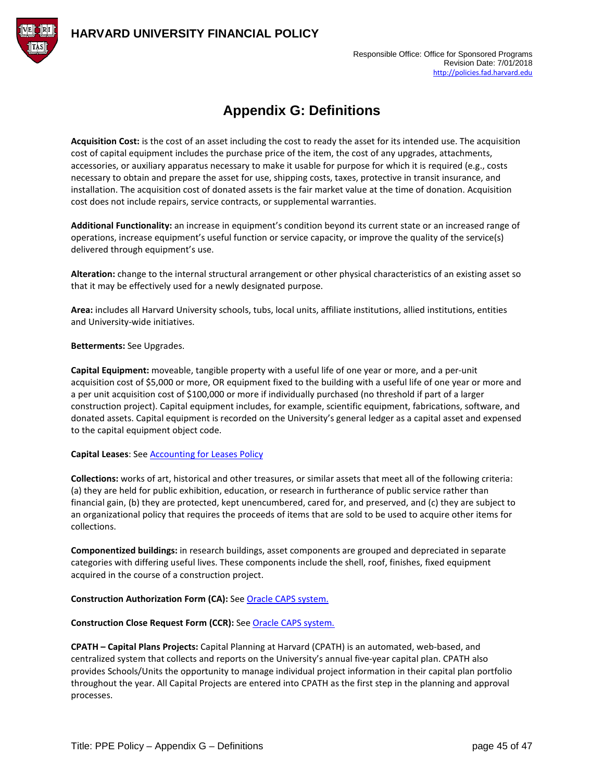

# **Appendix G: Definitions**

<span id="page-44-0"></span>**Acquisition Cost:** is the cost of an asset including the cost to ready the asset for its intended use. The acquisition cost of capital equipment includes the purchase price of the item, the cost of any upgrades, attachments, accessories, or auxiliary apparatus necessary to make it usable for purpose for which it is required (e.g., costs necessary to obtain and prepare the asset for use, shipping costs, taxes, protective in transit insurance, and installation. The acquisition cost of donated assets is the fair market value at the time of donation. Acquisition cost does not include repairs, service contracts, or supplemental warranties.

**Additional Functionality:** an increase in equipment's condition beyond its current state or an increased range of operations, increase equipment's useful function or service capacity, or improve the quality of the service(s) delivered through equipment's use.

**Alteration:** change to the internal structural arrangement or other physical characteristics of an existing asset so that it may be effectively used for a newly designated purpose.

**Area:** includes all Harvard University schools, tubs, local units, affiliate institutions, allied institutions, entities and University-wide initiatives.

### **Betterments:** See Upgrades.

**Capital Equipment:** moveable, tangible property with a useful life of one year or more, and a per-unit acquisition cost of \$5,000 or more, OR equipment fixed to the building with a useful life of one year or more and a per unit acquisition cost of \$100,000 or more if individually purchased (no threshold if part of a larger construction project). Capital equipment includes, for example, scientific equipment, fabrications, software, and donated assets. Capital equipment is recorded on the University's general ledger as a capital asset and expensed to the capital equipment object code.

### **Capital Leases**: See [Accounting for Leases Policy](https://policies.fad.harvard.edu/accounting-leases)

**Collections:** works of art, historical and other treasures, or similar assets that meet all of the following criteria: (a) they are held for public exhibition, education, or research in furtherance of public service rather than financial gain, (b) they are protected, kept unencumbered, cared for, and preserved, and (c) they are subject to an organizational policy that requires the proceeds of items that are sold to be used to acquire other items for collections.

**Componentized buildings:** in research buildings, asset components are grouped and depreciated in separate categories with differing useful lives. These components include the shell, roof, finishes, fixed equipment acquired in the course of a construction project.

### **Construction Authorization Form (CA):** Se[e Oracle CAPS system.](https://fss.finance.harvard.edu/applications)

### **Construction Close Request Form (CCR):** Se[e Oracle CAPS system.](https://fss.finance.harvard.edu/applications)

**CPATH – Capital Plans Projects:** Capital Planning at Harvard (CPATH) is an automated, web-based, and centralized system that collects and reports on the University's annual five-year capital plan. CPATH also provides Schools/Units the opportunity to manage individual project information in their capital plan portfolio throughout the year. All Capital Projects are entered into CPATH as the first step in the planning and approval processes.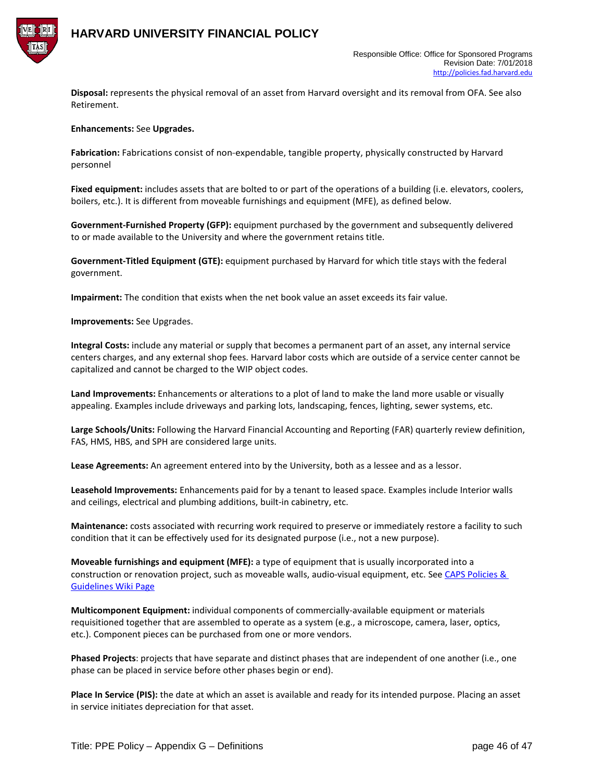

**Disposal:** represents the physical removal of an asset from Harvard oversight and its removal from OFA. See also Retirement.

### **Enhancements:** See **Upgrades.**

**Fabrication:** Fabrications consist of non-expendable, tangible property, physically constructed by Harvard personnel

**Fixed equipment:** includes assets that are bolted to or part of the operations of a building (i.e. elevators, coolers, boilers, etc.). It is different from moveable furnishings and equipment (MFE), as defined below.

**Government-Furnished Property (GFP):** equipment purchased by the government and subsequently delivered to or made available to the University and where the government retains title.

**Government-Titled Equipment (GTE):** equipment purchased by Harvard for which title stays with the federal government.

**Impairment:** The condition that exists when the net book value an asset exceeds its fair value.

**Improvements:** See Upgrades.

**Integral Costs:** include any material or supply that becomes a permanent part of an asset, any internal service centers charges, and any external shop fees. Harvard labor costs which are outside of a service center cannot be capitalized and cannot be charged to the WIP object codes.

**Land Improvements:** Enhancements or alterations to a plot of land to make the land more usable or visually appealing. Examples include driveways and parking lots, landscaping, fences, lighting, sewer systems, etc.

**Large Schools/Units:** Following the Harvard Financial Accounting and Reporting (FAR) quarterly review definition, FAS, HMS, HBS, and SPH are considered large units.

**Lease Agreements:** An agreement entered into by the University, both as a lessee and as a lessor.

**Leasehold Improvements:** Enhancements paid for by a tenant to leased space. Examples include Interior walls and ceilings, electrical and plumbing additions, built-in cabinetry, etc.

**Maintenance:** costs associated with recurring work required to preserve or immediately restore a facility to such condition that it can be effectively used for its designated purpose (i.e., not a new purpose).

**Moveable furnishings and equipment (MFE):** a type of equipment that is usually incorporated into a construction or renovation project, such as moveable walls, audio-visual equipment, etc. See CAPS Policies & [Guidelines Wiki Page](https://wiki.harvard.edu/confluence/pages/viewpage.action?pageId=192940708)

**Multicomponent Equipment:** individual components of commercially-available equipment or materials requisitioned together that are assembled to operate as a system (e.g., a microscope, camera, laser, optics, etc.). Component pieces can be purchased from one or more vendors.

**Phased Projects**: projects that have separate and distinct phases that are independent of one another (i.e., one phase can be placed in service before other phases begin or end).

**Place In Service (PIS):** the date at which an asset is available and ready for its intended purpose. Placing an asset in service initiates depreciation for that asset.